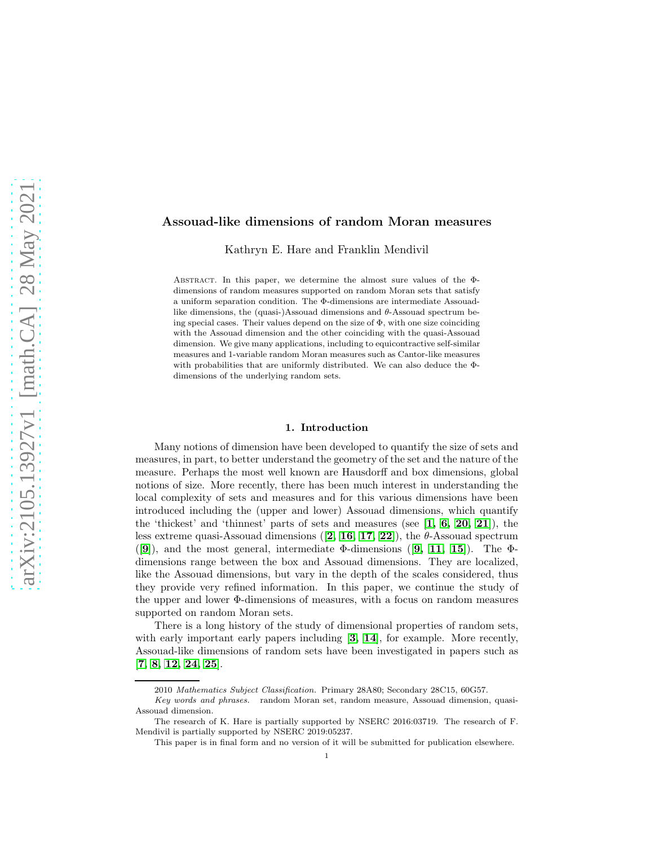## Assouad-like dimensions of random Moran measures

Kathryn E. Hare and Franklin Mendivil

ABSTRACT. In this paper, we determine the almost sure values of the  $\Phi$ dimensions of random measures supported on random Moran sets that satisfy a uniform separation condition. The Φ-dimensions are intermediate Assouadlike dimensions, the (quasi-)Assouad dimensions and  $\theta$ -Assouad spectrum being special cases. Their values depend on the size of  $\Phi$ , with one size coinciding with the Assouad dimension and the other coinciding with the quasi-Assouad dimension. We give many applications, including to equicontractive self-similar measures and 1-variable random Moran measures such as Cantor-like measures with probabilities that are uniformly distributed. We can also deduce the Φdimensions of the underlying random sets.

#### 1. Introduction

Many notions of dimension have been developed to quantify the size of sets and measures, in part, to better understand the geometry of the set and the nature of the measure. Perhaps the most well known are Hausdorff and box dimensions, global notions of size. More recently, there has been much interest in understanding the local complexity of sets and measures and for this various dimensions have been introduced including the (upper and lower) Assouad dimensions, which quantify the 'thickest' and 'thinnest' parts of sets and measures (see  $\left[1, 6, 20, 21\right]$  $\left[1, 6, 20, 21\right]$  $\left[1, 6, 20, 21\right]$  $\left[1, 6, 20, 21\right]$  $\left[1, 6, 20, 21\right]$  $\left[1, 6, 20, 21\right]$ ), the less extreme quasi-Assouad dimensions  $(2, 16, 17, 22]$  $(2, 16, 17, 22]$  $(2, 16, 17, 22]$  $(2, 16, 17, 22]$  $(2, 16, 17, 22]$  $(2, 16, 17, 22]$ , the  $\theta$ -Assouad spectrum  $(|9|)$  $(|9|)$  $(|9|)$ , and the most general, intermediate Φ-dimensions  $(|9, 11, 15|)$  $(|9, 11, 15|)$  $(|9, 11, 15|)$  $(|9, 11, 15|)$  $(|9, 11, 15|)$ . The Φdimensions range between the box and Assouad dimensions. They are localized, like the Assouad dimensions, but vary in the depth of the scales considered, thus they provide very refined information. In this paper, we continue the study of the upper and lower Φ-dimensions of measures, with a focus on random measures supported on random Moran sets.

There is a long history of the study of dimensional properties of random sets, with early important early papers including [[3,](#page-23-9) [14](#page-23-10)], for example. More recently, Assouad-like dimensions of random sets have been investigated in papers such as [[7,](#page-23-11) [8,](#page-23-12) [12,](#page-23-13) [24,](#page-24-2) [25](#page-24-3)].

<sup>2010</sup> Mathematics Subject Classification. Primary 28A80; Secondary 28C15, 60G57.

Key words and phrases. random Moran set, random measure, Assouad dimension, quasi-Assouad dimension.

The research of K. Hare is partially supported by NSERC 2016:03719. The research of F. Mendivil is partially supported by NSERC 2019:05237.

This paper is in final form and no version of it will be submitted for publication elsewhere.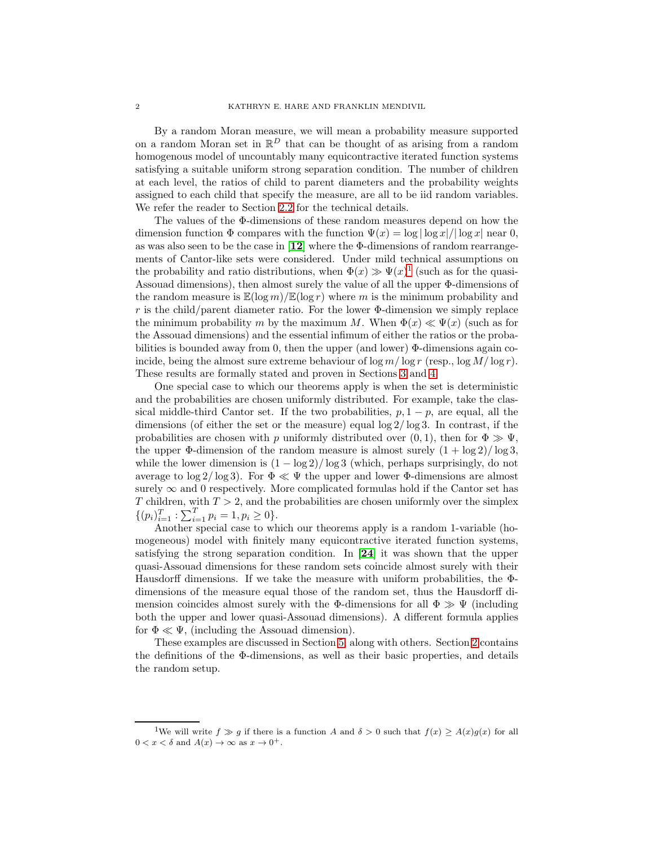By a random Moran measure, we will mean a probability measure supported on a random Moran set in  $\mathbb{R}^D$  that can be thought of as arising from a random homogenous model of uncountably many equicontractive iterated function systems satisfying a suitable uniform strong separation condition. The number of children at each level, the ratios of child to parent diameters and the probability weights assigned to each child that specify the measure, are all to be iid random variables. We refer the reader to Section [2.2](#page-3-0) for the technical details.

The values of the Φ-dimensions of these random measures depend on how the dimension function  $\Phi$  compares with the function  $\Psi(x) = \log |\log x|/|\log x|$  near 0, as was also seen to be the case in [[12](#page-23-13)] where the Φ-dimensions of random rearrangements of Cantor-like sets were considered. Under mild technical assumptions on the probability and ratio distributions, when  $\Phi(x) \gg \Psi(x)^{1}$  $\Phi(x) \gg \Psi(x)^{1}$  $\Phi(x) \gg \Psi(x)^{1}$  (such as for the quasi-Assouad dimensions), then almost surely the value of all the upper Φ-dimensions of the random measure is  $\mathbb{E}(\log m)/\mathbb{E}(\log r)$  where m is the minimum probability and r is the child/parent diameter ratio. For the lower  $\Phi$ -dimension we simply replace the minimum probability m by the maximum M. When  $\Phi(x) \ll \Psi(x)$  (such as for the Assouad dimensions) and the essential infimum of either the ratios or the probabilities is bounded away from 0, then the upper (and lower)  $\Phi$ -dimensions again coincide, being the almost sure extreme behaviour of  $\log m / \log r$  (resp.,  $\log M / \log r$ ). These results are formally stated and proven in Sections [3](#page-8-0) and [4.](#page-13-0)

One special case to which our theorems apply is when the set is deterministic and the probabilities are chosen uniformly distributed. For example, take the classical middle-third Cantor set. If the two probabilities,  $p, 1 - p$ , are equal, all the dimensions (of either the set or the measure) equal  $\log 2/\log 3$ . In contrast, if the probabilities are chosen with p uniformly distributed over  $(0, 1)$ , then for  $\Phi \gg \Psi$ , the upper  $\Phi$ -dimension of the random measure is almost surely  $(1 + \log 2)/\log 3$ , while the lower dimension is  $(1 - \log 2)/{\log 3}$  (which, perhaps surprisingly, do not average to  $\log 2/\log 3$ . For  $\Phi \ll \Psi$  the upper and lower  $\Phi$ -dimensions are almost surely  $\infty$  and 0 respectively. More complicated formulas hold if the Cantor set has T children, with  $T > 2$ , and the probabilities are chosen uniformly over the simplex  $\{(p_i)_{i=1}^T : \sum_{i=1}^T p_i = 1, p_i \geq 0\}.$ 

Another special case to which our theorems apply is a random 1-variable (homogeneous) model with finitely many equicontractive iterated function systems, satisfying the strong separation condition. In [[24](#page-24-2)] it was shown that the upper quasi-Assouad dimensions for these random sets coincide almost surely with their Hausdorff dimensions. If we take the measure with uniform probabilities, the Φdimensions of the measure equal those of the random set, thus the Hausdorff dimension coincides almost surely with the  $\Phi$ -dimensions for all  $\Phi \gg \Psi$  (including both the upper and lower quasi-Assouad dimensions). A different formula applies for  $\Phi \ll \Psi$ , (including the Assouad dimension).

These examples are discussed in Section [5,](#page-16-0) along with others. Section [2](#page-2-0) contains the definitions of the Φ-dimensions, as well as their basic properties, and details the random setup.

<span id="page-1-0"></span><sup>&</sup>lt;sup>1</sup>We will write  $f \gg g$  if there is a function A and  $\delta > 0$  such that  $f(x) \geq A(x)g(x)$  for all  $0 < x < \delta$  and  $A(x) \to \infty$  as  $x \to 0^+$ .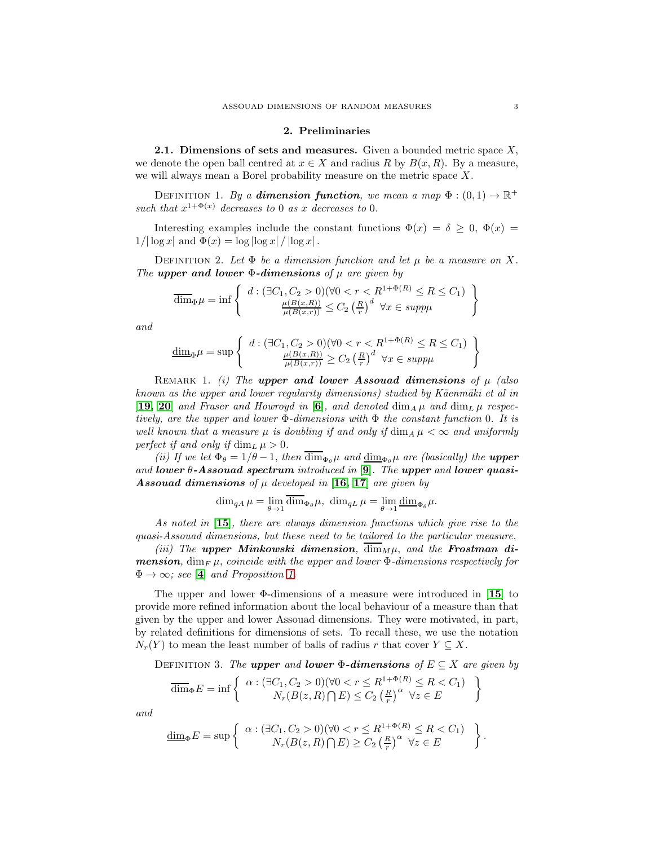#### 2. Preliminaries

<span id="page-2-0"></span>**2.1. Dimensions of sets and measures.** Given a bounded metric space  $X$ , we denote the open ball centred at  $x \in X$  and radius R by  $B(x, R)$ . By a measure, we will always mean a Borel probability measure on the metric space X.

DEFINITION 1. By a **dimension function**, we mean a map  $\Phi : (0,1) \to \mathbb{R}^+$ such that  $x^{1+\Phi(x)}$  decreases to 0 as x decreases to 0.

Interesting examples include the constant functions  $\Phi(x) = \delta \geq 0$ ,  $\Phi(x) =$  $1/|\log x|$  and  $\Phi(x) = \log |\log x| / |\log x|$ .

DEFINITION 2. Let  $\Phi$  be a dimension function and let  $\mu$  be a measure on X. The upper and lower  $\Phi$ -dimensions of  $\mu$  are given by

$$
\overline{\dim}_{\Phi}\mu = \inf \left\{ d : (\exists C_1, C_2 > 0)(\forall 0 < r < R^{1+\Phi(R)} \le R \le C_1) \atop \frac{\mu(B(x,R))}{\mu(B(x,r))} \le C_2 \left(\frac{R}{r}\right)^d \forall x \in \text{supp}\mu \right\}
$$

and

$$
\underline{\dim}_{\Phi}\mu = \sup \left\{ \begin{array}{c} d : (\exists C_1, C_2 > 0)(\forall 0 < r < R^{1+\Phi(R)} \le R \le C_1) \\ \frac{\mu(B(x,R))}{\mu(B(x,r))} \ge C_2 \left(\frac{R}{r}\right)^d \forall x \in supp \mu \end{array} \right\}
$$

REMARK 1. (i) The upper and lower Assouad dimensions of  $\mu$  (also known as the upper and lower regularity dimensions) studied by Käenmäki et al in [[19,](#page-23-14) [20](#page-23-2)] and Fraser and Howroyd in [[6](#page-23-1)], and denoted  $\dim_A \mu$  and  $\dim_L \mu$  respectively, are the upper and lower  $\Phi$ -dimensions with  $\Phi$  the constant function 0. It is well known that a measure  $\mu$  is doubling if and only if  $\dim_A \mu < \infty$  and uniformly perfect if and only if  $\dim_L \mu > 0$ .

(ii) If we let  $\Phi_{\theta} = 1/\theta - 1$ , then  $\overline{\dim}_{\Phi_{\theta}} \mu$  and  $\underline{\dim}_{\Phi_{\theta}} \mu$  are (basically) the **upper** and lower  $\theta$ -Assouad spectrum introduced in [[9](#page-23-6)]. The upper and lower quasi-**Assouad dimensions** of  $\mu$  developed in [[16,](#page-23-4) [17](#page-23-5)] are given by

$$
\dim_{qA}\mu=\lim_{\theta\to 1}\overline{\dim}_{\Phi_{\theta}}\mu,\,\,\dim_{qL}\mu=\lim_{\theta\to 1}\underline{\dim}_{\Phi_{\theta}}\mu.
$$

As noted in [[15](#page-23-8)], there are always dimension functions which give rise to the quasi-Assouad dimensions, but these need to be tailored to the particular measure.

(iii) The upper Minkowski dimension,  $\overline{\dim}_M \mu$ , and the Frostman di**mension**, dim<sub>F</sub>  $\mu$ , coincide with the upper and lower  $\Phi$ -dimensions respectively for  $\Phi \rightarrow \infty$ ; see [[4](#page-23-15)] and Proposition [1.](#page-3-1)

The upper and lower  $\Phi$ -dimensions of a measure were introduced in [[15](#page-23-8)] to provide more refined information about the local behaviour of a measure than that given by the upper and lower Assouad dimensions. They were motivated, in part, by related definitions for dimensions of sets. To recall these, we use the notation  $N_r(Y)$  to mean the least number of balls of radius r that cover  $Y \subseteq X$ .

DEFINITION 3. The upper and lower  $\Phi$ -dimensions of  $E \subseteq X$  are given by

$$
\overline{\dim}_{\Phi} E = \inf \left\{ \begin{array}{c} \alpha : (\exists C_1, C_2 > 0)(\forall 0 < r \le R^{1+\Phi(R)} \le R < C_1) \\ N_r(B(z, R) \cap E) \le C_2 \left(\frac{R}{r}\right)^{\alpha} \forall z \in E \end{array} \right\}
$$

and

$$
\underline{\dim}_{\Phi} E = \sup \left\{ \begin{array}{c} \alpha : (\exists C_1, C_2 > 0)(\forall 0 < r \le R^{1+\Phi(R)} \le R < C_1) \\ N_r(B(z, R) \cap E) \ge C_2 \left(\frac{R}{r}\right)^{\alpha} \forall z \in E \end{array} \right\}.
$$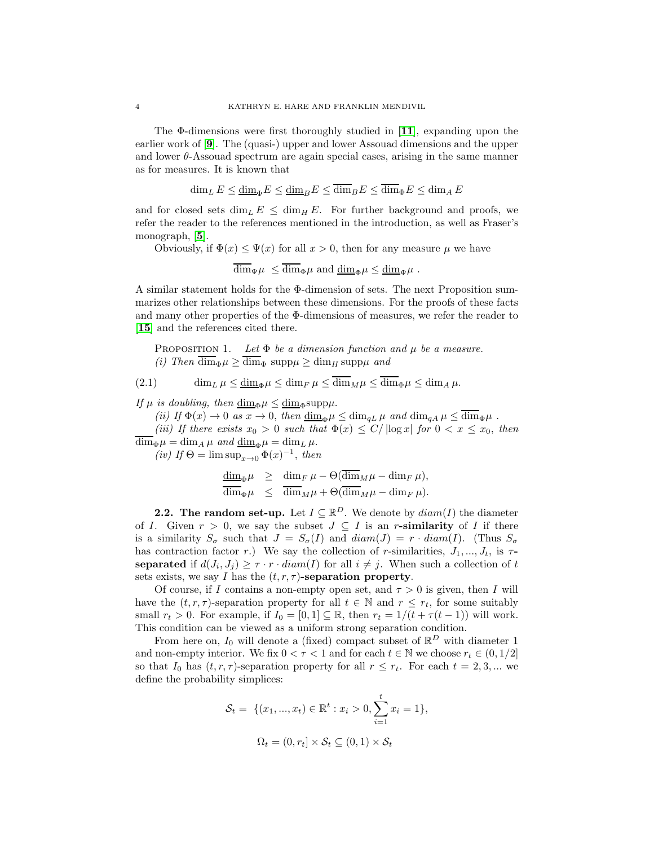The  $\Phi$ -dimensions were first thoroughly studied in [[11](#page-23-7)], expanding upon the earlier work of [[9](#page-23-6)]. The (quasi-) upper and lower Assouad dimensions and the upper and lower θ-Assouad spectrum are again special cases, arising in the same manner as for measures. It is known that

$$
\dim_L E \le \underline{\dim}_{\Phi} E \le \underline{\dim}_B E \le \overline{\dim}_B E \le \overline{\dim}_{\Phi} E \le \dim_A E
$$

and for closed sets  $\dim_L E \leq \dim_H E$ . For further background and proofs, we refer the reader to the references mentioned in the introduction, as well as Fraser's monograph, [[5](#page-23-16)].

Obviously, if  $\Phi(x) \leq \Psi(x)$  for all  $x > 0$ , then for any measure  $\mu$  we have

 $\overline{\dim}_{\Psi}\mu \le \overline{\dim}_{\Phi}\mu$  and  $\underline{\dim}_{\Phi}\mu \le \underline{\dim}_{\Psi}\mu$ .

A similar statement holds for the Φ-dimension of sets. The next Proposition summarizes other relationships between these dimensions. For the proofs of these facts and many other properties of the Φ-dimensions of measures, we refer the reader to [[15](#page-23-8)] and the references cited there.

<span id="page-3-1"></span>PROPOSITION 1. Let  $\Phi$  be a dimension function and  $\mu$  be a measure. (i) Then  $\overline{\dim}_{\Phi}\mu \ge \overline{\dim}_{\Phi} \text{ supp }\mu \ge \dim_H \text{ supp }\mu$  and

(2.1) 
$$
\dim_L \mu \leq \underline{\dim}_{\Phi} \mu \leq \dim_F \mu \leq \dim_M \mu \leq \dim_{\Phi} \mu \leq \dim_A \mu.
$$

If  $\mu$  is doubling, then  $\dim_{\Phi} \mu \leq \dim_{\Phi} \text{supp}\mu$ .

(ii) If  $\Phi(x) \to 0$  as  $x \to 0$ , then  $\underline{\dim}_{\Phi} \mu \le \dim_{qL} \mu$  and  $\dim_{qA} \mu \le \overline{\dim}_{\Phi} \mu$ .

(iii) If there exists  $x_0 > 0$  such that  $\Phi(x) \leq C/ \log x$  for  $0 < x \leq x_0$ , then  $\overline{\dim}_{\Phi}\mu = \dim_{A}\mu$  and  $\underline{\dim}_{\Phi}\mu = \dim_{L}\mu$ .

(iv) If  $\Theta = \limsup_{x\to 0} \Phi(x)^{-1}$ , then

$$
\frac{\dim_{\Phi}\mu}{\dim_{\Phi}\mu} \geq \frac{\dim_{F}\mu - \Theta(\overline{\dim}_{M}\mu - \dim_{F}\mu)}{\dim_{M}\mu + \Theta(\overline{\dim}_{M}\mu - \dim_{F}\mu)}.
$$

<span id="page-3-0"></span>**2.2.** The random set-up. Let  $I \subseteq \mathbb{R}^D$ . We denote by  $diam(I)$  the diameter of I. Given  $r > 0$ , we say the subset  $J \subseteq I$  is an r-similarity of I if there is a similarity  $S_{\sigma}$  such that  $J = S_{\sigma}(I)$  and  $diam(J) = r \cdot diam(I)$ . (Thus  $S_{\sigma}$ has contraction factor r.) We say the collection of r-similarities,  $J_1, ..., J_t$ , is  $\tau$ separated if  $d(J_i, J_j) \geq \tau \cdot r \cdot diam(I)$  for all  $i \neq j$ . When such a collection of t sets exists, we say I has the  $(t, r, \tau)$ -separation property.

Of course, if I contains a non-empty open set, and  $\tau > 0$  is given, then I will have the  $(t, r, \tau)$ -separation property for all  $t \in \mathbb{N}$  and  $r \leq r_t$ , for some suitably small  $r_t > 0$ . For example, if  $I_0 = [0, 1] \subseteq \mathbb{R}$ , then  $r_t = 1/(t + \tau(t - 1))$  will work. This condition can be viewed as a uniform strong separation condition.

From here on,  $I_0$  will denote a (fixed) compact subset of  $\mathbb{R}^D$  with diameter 1 and non-empty interior. We fix  $0 < \tau < 1$  and for each  $t \in \mathbb{N}$  we choose  $r_t \in (0, 1/2]$ so that  $I_0$  has  $(t, r, \tau)$ -separation property for all  $r \leq r_t$ . For each  $t = 2, 3, ...$  we define the probability simplices:

$$
\mathcal{S}_t = \{ (x_1, ..., x_t) \in \mathbb{R}^t : x_i > 0, \sum_{i=1}^t x_i = 1 \},
$$
  

$$
\Omega_t = (0, r_t] \times \mathcal{S}_t \subseteq (0, 1) \times \mathcal{S}_t
$$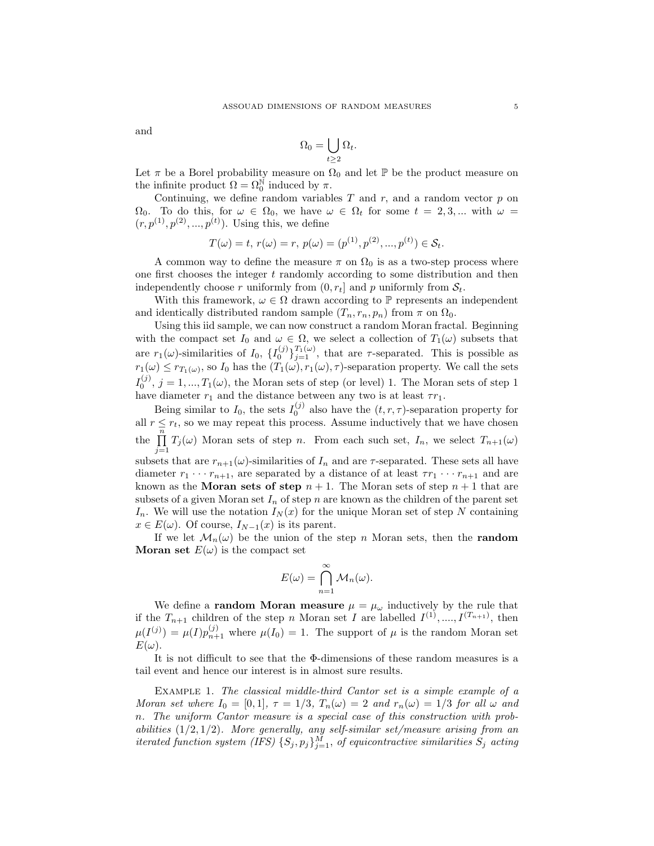and

$$
\Omega_0 = \bigcup_{t \geq 2} \Omega_t.
$$

Let  $\pi$  be a Borel probability measure on  $\Omega_0$  and let  $\mathbb P$  be the product measure on the infinite product  $\Omega = \Omega_0^{\mathbb{N}}$  induced by  $\pi$ .

Continuing, we define random variables  $T$  and  $r$ , and a random vector  $p$  on  $\Omega_0$ . To do this, for  $\omega \in \Omega_0$ , we have  $\omega \in \Omega_t$  for some  $t = 2, 3, ...$  with  $\omega =$  $(r, p^{(1)}, p^{(2)}, ..., p^{(t)})$ . Using this, we define

$$
T(\omega) = t, r(\omega) = r, p(\omega) = (p^{(1)}, p^{(2)}, ..., p^{(t)}) \in S_t.
$$

A common way to define the measure  $\pi$  on  $\Omega_0$  is as a two-step process where one first chooses the integer  $t$  randomly according to some distribution and then independently choose r uniformly from  $(0, r_t]$  and p uniformly from  $S_t$ .

With this framework,  $\omega \in \Omega$  drawn according to P represents an independent and identically distributed random sample  $(T_n, r_n, p_n)$  from  $\pi$  on  $\Omega_0$ .

Using this iid sample, we can now construct a random Moran fractal. Beginning with the compact set  $I_0$  and  $\omega \in \Omega$ , we select a collection of  $T_1(\omega)$  subsets that are  $r_1(\omega)$ -similarities of  $I_0$ ,  $\{I_0^{(j)}\}_{j=1}^{T_1(\omega)}$ , that are  $\tau$ -separated. This is possible as  $r_1(\omega) \leq r_{T_1(\omega)}$ , so  $I_0$  has the  $(T_1(\omega), r_1(\omega), \tau)$ -separation property. We call the sets  $I_0^{(j)}$ ,  $j = 1, ..., T_1(\omega)$ , the Moran sets of step (or level) 1. The Moran sets of step 1 have diameter  $r_1$  and the distance between any two is at least  $\tau r_1$ .

Being similar to  $I_0$ , the sets  $I_0^{(j)}$  also have the  $(t, r, \tau)$ -separation property for all  $r \leq r_t$ , so we may repeat this process. Assume inductively that we have chosen the  $\prod_{i=1}^{n} T_i(\omega)$  Moran sets of step n. From each such set,  $I_n$ , we select  $T_{n+1}(\omega)$  $j=1$ subsets that are  $r_{n+1}(\omega)$ -similarities of  $I_n$  and are  $\tau$ -separated. These sets all have diameter  $r_1 \cdots r_{n+1}$ , are separated by a distance of at least  $\tau r_1 \cdots r_{n+1}$  and are

known as the **Moran sets of step**  $n + 1$ . The Moran sets of step  $n + 1$  that are subsets of a given Moran set  $I_n$  of step n are known as the children of the parent set  $I_n$ . We will use the notation  $I_N(x)$  for the unique Moran set of step N containing  $x \in E(\omega)$ . Of course,  $I_{N-1}(x)$  is its parent.

If we let  $\mathcal{M}_n(\omega)$  be the union of the step n Moran sets, then the **random Moran set**  $E(\omega)$  is the compact set

$$
E(\omega) = \bigcap_{n=1}^{\infty} \mathcal{M}_n(\omega).
$$

We define a **random Moran measure**  $\mu = \mu_{\omega}$  inductively by the rule that if the  $T_{n+1}$  children of the step n Moran set I are labelled  $I^{(1)}, \ldots, I^{(T_{n+1})}$ , then  $\mu(I^{(j)}) = \mu(I) p_{n+1}^{(j)}$  where  $\mu(I_0) = 1$ . The support of  $\mu$  is the random Moran set  $E(\omega)$ .

It is not difficult to see that the Φ-dimensions of these random measures is a tail event and hence our interest is in almost sure results.

Example 1. The classical middle-third Cantor set is a simple example of a Moran set where  $I_0 = [0, 1], \tau = 1/3, T_n(\omega) = 2$  and  $r_n(\omega) = 1/3$  for all  $\omega$  and n. The uniform Cantor measure is a special case of this construction with probabilities  $(1/2, 1/2)$ . More generally, any self-similar set/measure arising from an iterated function system (IFS)  $\{S_j, p_j\}_{j=1}^M$ , of equicontractive similarities  $S_j$  acting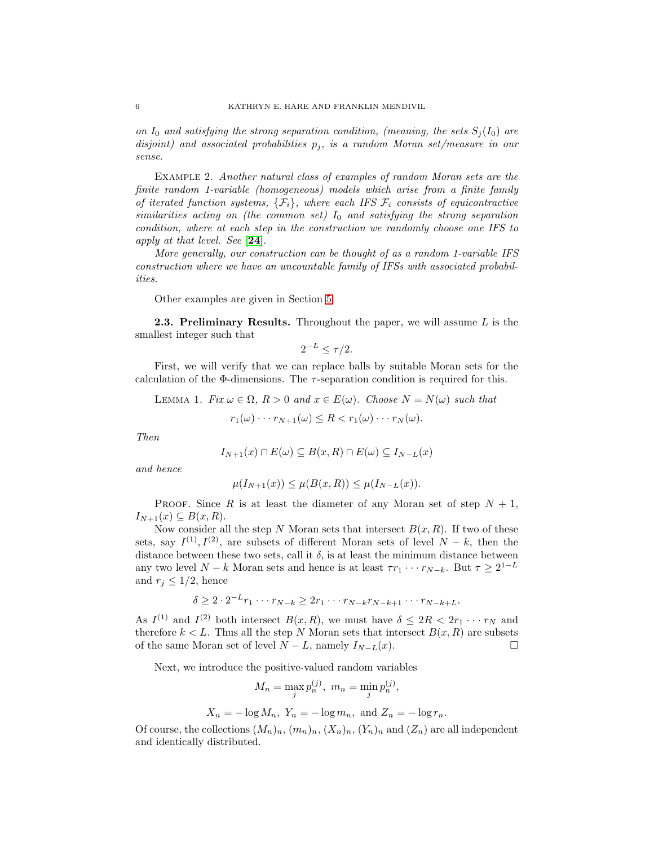on  $I_0$  and satisfying the strong separation condition, (meaning, the sets  $S_i(I_0)$  are disjoint) and associated probabilities  $p_j$ , is a random Moran set/measure in our sense.

<span id="page-5-1"></span>Example 2. Another natural class of examples of random Moran sets are the finite random 1-variable (homogeneous) models which arise from a finite family of iterated function systems,  $\{\mathcal{F}_i\}$ , where each IFS  $\mathcal{F}_i$  consists of equicontractive similarities acting on (the common set)  $I_0$  and satisfying the strong separation condition, where at each step in the construction we randomly choose one IFS to apply at that level. See [[24](#page-24-2)].

More generally, our construction can be thought of as a random 1-variable IFS construction where we have an uncountable family of IFSs with associated probabilities.

Other examples are given in Section [5.](#page-16-0)

**2.3. Preliminary Results.** Throughout the paper, we will assume  $L$  is the smallest integer such that

$$
2^{-L} \le \tau/2.
$$

First, we will verify that we can replace balls by suitable Moran sets for the calculation of the  $\Phi$ -dimensions. The  $\tau$ -separation condition is required for this.

<span id="page-5-0"></span>LEMMA 1. Fix  $\omega \in \Omega$ ,  $R > 0$  and  $x \in E(\omega)$ . Choose  $N = N(\omega)$  such that

$$
r_1(\omega) \cdots r_{N+1}(\omega) \leq R < r_1(\omega) \cdots r_N(\omega).
$$

Then

$$
I_{N+1}(x) \cap E(\omega) \subseteq B(x,R) \cap E(\omega) \subseteq I_{N-L}(x)
$$

and hence

$$
\mu(I_{N+1}(x)) \le \mu(B(x,R)) \le \mu(I_{N-L}(x)).
$$

PROOF. Since R is at least the diameter of any Moran set of step  $N + 1$ ,  $I_{N+1}(x) \subseteq B(x,R).$ 

Now consider all the step N Moran sets that intersect  $B(x, R)$ . If two of these sets, say  $I^{(1)}, I^{(2)}$ , are subsets of different Moran sets of level  $N - k$ , then the distance between these two sets, call it  $\delta$ , is at least the minimum distance between any two level  $N - k$  Moran sets and hence is at least  $\tau r_1 \cdots r_{N-k}$ . But  $\tau \geq 2^{1-L}$ and  $r_j \leq 1/2$ , hence

$$
\delta \geq 2 \cdot 2^{-L} r_1 \cdots r_{N-k} \geq 2r_1 \cdots r_{N-k} r_{N-k+1} \cdots r_{N-k+L}.
$$

As  $I^{(1)}$  and  $I^{(2)}$  both intersect  $B(x, R)$ , we must have  $\delta \leq 2R < 2r_1 \cdots r_N$  and therefore  $k < L$ . Thus all the step N Moran sets that intersect  $B(x, R)$  are subsets of the same Moran set of level  $N - L$ , namely  $I_{N-L}(x)$ . □

Next, we introduce the positive-valued random variables

$$
M_n = \max_j p_n^{(j)}, \ m_n = \min_j p_n^{(j)},
$$

$$
X_n = -\log M_n
$$
,  $Y_n = -\log m_n$ , and  $Z_n = -\log r_n$ .

Of course, the collections  $(M_n)_n$ ,  $(m_n)_n$ ,  $(X_n)_n$ ,  $(Y_n)_n$  and  $(Z_n)$  are all independent and identically distributed.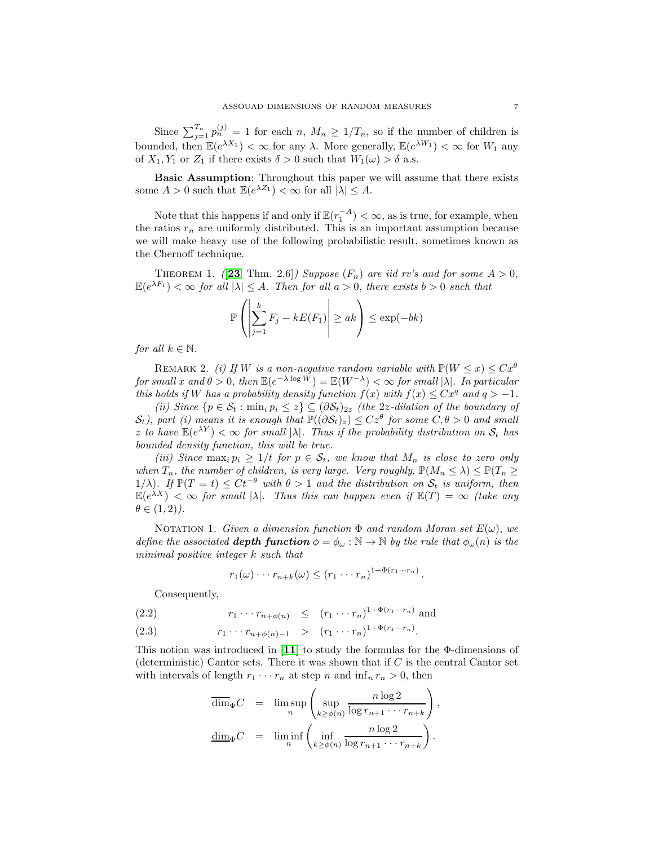Since  $\sum_{j=1}^{T_n} p_n^{(j)} = 1$  for each  $n, M_n \geq 1/T_n$ , so if the number of children is bounded, then  $\mathbb{E}(e^{\lambda X_1}) < \infty$  for any  $\lambda$ . More generally,  $\mathbb{E}(e^{\lambda W_1}) < \infty$  for  $W_1$  any of  $X_1, Y_1$  or  $Z_1$  if there exists  $\delta > 0$  such that  $W_1(\omega) > \delta$  a.s.

Basic Assumption: Throughout this paper we will assume that there exists some  $A > 0$  such that  $\mathbb{E}(e^{\lambda Z_1}) < \infty$  for all  $|\lambda| \leq A$ .

Note that this happens if and only if  $\mathbb{E}(r_1^{-A}) < \infty$ , as is true, for example, when the ratios  $r_n$  are uniformly distributed. This is an important assumption because we will make heavy use of the following probabilistic result, sometimes known as the Chernoff technique.

<span id="page-6-0"></span>THEOREM 1. ([[23](#page-24-4), Thm. 2.6]) Suppose  $(F_n)$  are iid rv's and for some  $A > 0$ ,  $\mathbb{E}(e^{\lambda F_1}) < \infty$  for all  $|\lambda| \leq A$ . Then for all  $a > 0$ , there exists  $b > 0$  such that

$$
\mathbb{P}\left(\left|\sum_{j=1}^k F_j - kE(F_1)\right| \geq a k\right) \leq \exp(-bk)
$$

for all  $k \in \mathbb{N}$ .

REMARK 2. (i) If W is a non-negative random variable with  $\mathbb{P}(W \leq x) \leq Cx^{\theta}$ for small x and  $\theta > 0$ , then  $\mathbb{E}(e^{-\lambda \log W}) = \mathbb{E}(W^{-\lambda}) < \infty$  for small  $|\lambda|$ . In particular this holds if W has a probability density function  $f(x)$  with  $f(x) \leq Cx^q$  and  $q > -1$ .

(ii) Since  $\{p \in \mathcal{S}_t : \min_i p_i \leq z\} \subseteq (\partial \mathcal{S}_t)_{2z}$  (the 2*z*-dilation of the boundary of  $(\mathcal{S}_t)$ , part (i) means it is enough that  $\mathbb{P}((\partial \mathcal{S}_t)_z) \leq Cz^{\theta}$  for some  $C, \theta > 0$  and small z to have  $\mathbb{E}(e^{\lambda Y}) < \infty$  for small  $|\lambda|$ . Thus if the probability distribution on  $S_t$  has bounded density function, this will be true.

(iii) Since  $\max_i p_i \geq 1/t$  for  $p \in S_t$ , we know that  $M_n$  is close to zero only when  $T_n$ , the number of children, is very large. Very roughly,  $\mathbb{P}(M_n \leq \lambda) \leq \mathbb{P}(T_n \geq$ 1/ $\lambda$ ). If  $\mathbb{P}(T = t) \leq Ct^{-\theta}$  with  $\theta > 1$  and the distribution on  $\mathcal{S}_t$  is uniform, then  $\mathbb{E}(e^{\lambda X}) < \infty$  for small  $|\lambda|$ . Thus this can happen even if  $\mathbb{E}(T) = \infty$  (take any  $\theta \in (1,2)$ .

NOTATION 1. Given a dimension function  $\Phi$  and random Moran set  $E(\omega)$ , we define the associated **depth function**  $\phi = \phi_\omega : \mathbb{N} \to \mathbb{N}$  by the rule that  $\phi_\omega(n)$  is the minimal positive integer k such that

<span id="page-6-1"></span>
$$
r_1(\omega) \cdots r_{n+k}(\omega) \le (r_1 \cdots r_n)^{1+\Phi(r_1 \cdots r_n)}.
$$

Consequently,

(2.2)  $r_1 \cdots r_{n+\phi(n)} \le (r_1 \cdots r_n)^{1+\Phi(r_1 \cdots r_n)}$  and

(2.3)  $r_1 \cdots r_{n+\phi(n)-1} > (r_1 \cdots r_n)^{1+\Phi(r_1 \cdots r_n)}$ .

This notion was introduced in [[11](#page-23-7)] to study the formulas for the Φ-dimensions of (deterministic) Cantor sets. There it was shown that if  $C$  is the central Cantor set with intervals of length  $r_1 \cdots r_n$  at step n and  $\inf_n r_n > 0$ , then

$$
\overline{\dim}_{\Phi} C = \limsup_{n} \left( \sup_{k \ge \phi(n)} \frac{n \log 2}{\log r_{n+1} \cdots r_{n+k}} \right)
$$

$$
\underline{\dim}_{\Phi} C = \liminf_{n} \left( \inf_{k \ge \phi(n)} \frac{n \log 2}{\log r_{n+1} \cdots r_{n+k}} \right).
$$

,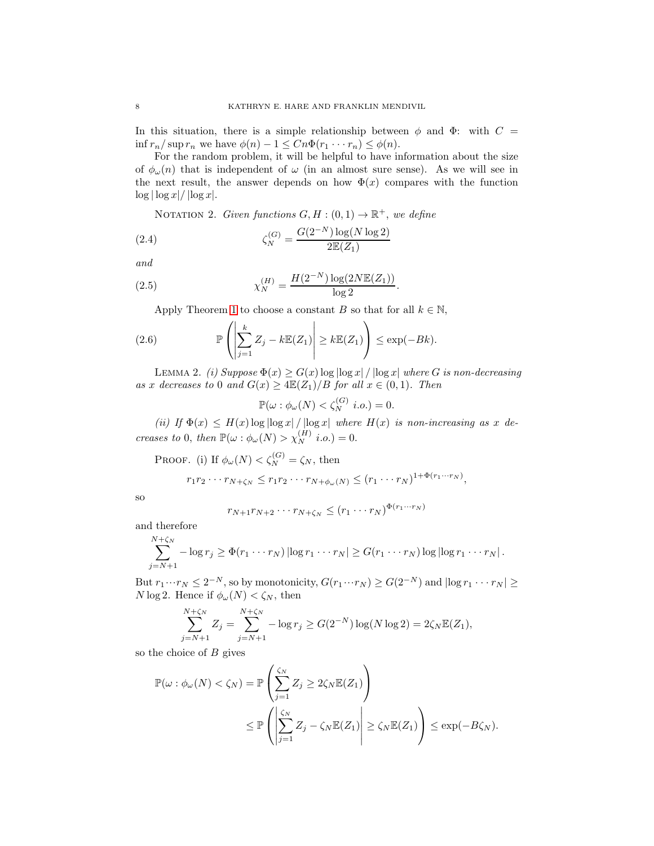In this situation, there is a simple relationship between  $\phi$  and  $\Phi$ : with  $C =$ inf  $r_n/\sup r_n$  we have  $\phi(n) - 1 \leq C_n \Phi(r_1 \cdots r_n) \leq \phi(n)$ .

For the random problem, it will be helpful to have information about the size of  $\phi_{\omega}(n)$  that is independent of  $\omega$  (in an almost sure sense). As we will see in the next result, the answer depends on how  $\Phi(x)$  compares with the function  $\log |\log x| / |\log x|$ .

<span id="page-7-0"></span>NOTATION 2. Given functions  $G, H : (0,1) \to \mathbb{R}^+$ , we define

(2.4) 
$$
\zeta_N^{(G)} = \frac{G(2^{-N}) \log(N \log 2)}{2\mathbb{E}(Z_1)}
$$

and

(2.5) 
$$
\chi_N^{(H)} = \frac{H(2^{-N})\log(2N\mathbb{E}(Z_1))}{\log 2}.
$$

<span id="page-7-1"></span>Apply Theorem [1](#page-6-0) to choose a constant B so that for all  $k \in \mathbb{N}$ ,

(2.6) 
$$
\mathbb{P}\left(\left|\sum_{j=1}^k Z_j - k \mathbb{E}(Z_1)\right| \geq k \mathbb{E}(Z_1)\right) \leq \exp(-Bk).
$$

<span id="page-7-2"></span>LEMMA 2. (i) Suppose  $\Phi(x) \geq G(x) \log |\log x| / |\log x|$  where G is non-decreasing as x decreases to 0 and  $G(x) \geq 4\mathbb{E}(Z_1)/B$  for all  $x \in (0,1)$ . Then

 $\mathbb{P}(\omega : \phi_{\omega}(N) < \zeta_N^{(G)} \ i.o.) = 0.$ 

(ii) If  $\Phi(x) \leq H(x) \log |\log x| / |\log x|$  where  $H(x)$  is non-increasing as x decreases to 0, then  $\mathbb{P}(\omega : \phi_{\omega}(N) > \chi_N^{(H)} i.o.) = 0.$ 

PROOF. (i) If  $\phi_{\omega}(N) < \zeta_N^{(G)} = \zeta_N$ , then

$$
r_1r_2\cdots r_{N+\zeta_N}\leq r_1r_2\cdots r_{N+\phi_\omega(N)}\leq (r_1\cdots r_N)^{1+\Phi(r_1\cdots r_N)},
$$

so

$$
r_{N+1}r_{N+2}\cdots r_{N+\zeta_N} \le (r_1\cdots r_N)^{\Phi(r_1\cdots r_N)}
$$

and therefore

$$
\sum_{j=N+1}^{N+\zeta_N} -\log r_j \geq \Phi(r_1 \cdots r_N) |\log r_1 \cdots r_N| \geq G(r_1 \cdots r_N) \log |\log r_1 \cdots r_N|.
$$

But  $r_1 \cdots r_N \leq 2^{-N}$ , so by monotonicity,  $G(r_1 \cdots r_N) \geq G(2^{-N})$  and  $|\log r_1 \cdots r_N| \geq$ N log 2. Hence if  $\phi_{\omega}(N) < \zeta_N$ , then

$$
\sum_{j=N+1}^{N+\zeta_N} Z_j = \sum_{j=N+1}^{N+\zeta_N} -\log r_j \ge G(2^{-N}) \log(N \log 2) = 2\zeta_N \mathbb{E}(Z_1),
$$

so the choice of  $B$  gives

$$
\mathbb{P}(\omega : \phi_{\omega}(N) < \zeta_N) = \mathbb{P}\left(\sum_{j=1}^{\zeta_N} Z_j \ge 2\zeta_N \mathbb{E}(Z_1)\right) \\
\le \mathbb{P}\left(\left|\sum_{j=1}^{\zeta_N} Z_j - \zeta_N \mathbb{E}(Z_1)\right| \ge \zeta_N \mathbb{E}(Z_1)\right) \le \exp(-B\zeta_N).
$$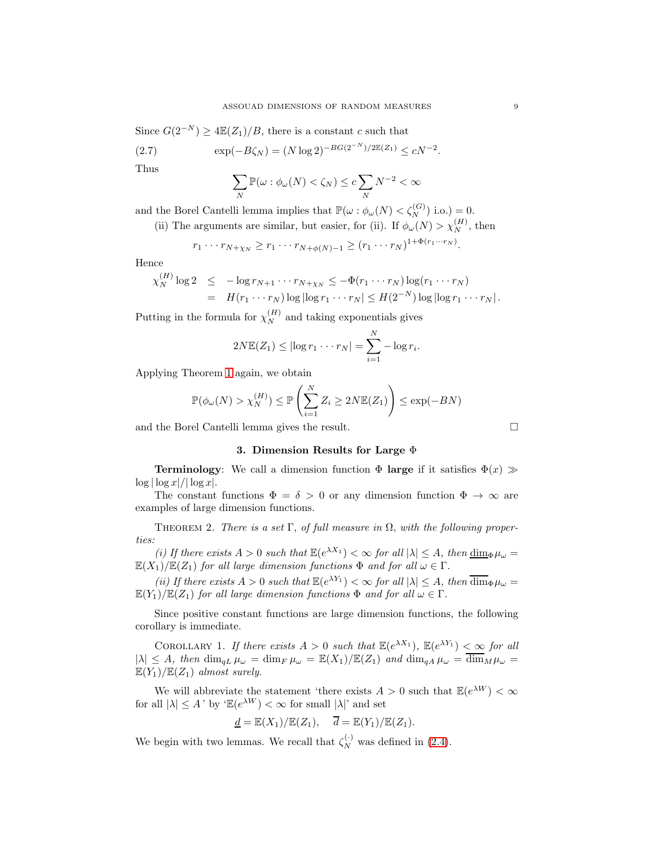Since  $G(2^{-N}) \geq 4\mathbb{E}(Z_1)/B$ , there is a constant c such that

(2.7) 
$$
\exp(-B\zeta_N) = (N \log 2)^{-BG(2^{-N})/2\mathbb{E}(Z_1)} \le cN^{-2}.
$$

Thus

$$
\sum_N \mathbb{P}(\omega : \phi_\omega(N) < \zeta_N) \leq c \sum_N N^{-2} < \infty
$$

and the Borel Cantelli lemma implies that  $\mathbb{P}(\omega : \phi_{\omega}(N) < \zeta_N^{(G)})$  i.o.) = 0.

(ii) The arguments are similar, but easier, for (ii). If  $\phi_{\omega}(N) > \chi_N^{(H)}$ , then

$$
r_1 \cdots r_{N+\chi_N} \ge r_1 \cdots r_{N+\phi(N)-1} \ge (r_1 \cdots r_N)^{1+\Phi(r_1 \cdots r_N)}.
$$

Hence

$$
\chi_N^{(H)} \log 2 \leq -\log r_{N+1} \cdots r_{N+\chi_N} \leq -\Phi(r_1 \cdots r_N) \log(r_1 \cdots r_N)
$$
  
=  $H(r_1 \cdots r_N) \log |\log r_1 \cdots r_N| \leq H(2^{-N}) \log |\log r_1 \cdots r_N|.$ 

Putting in the formula for  $\chi_N^{(H)}$  and taking exponentials gives

$$
2N\mathbb{E}(Z_1) \leq |\log r_1 \cdots r_N| = \sum_{i=1}^N -\log r_i.
$$

Applying Theorem [1](#page-6-0) again, we obtain

$$
\mathbb{P}(\phi_{\omega}(N) > \chi_N^{(H)}) \le \mathbb{P}\left(\sum_{i=1}^N Z_i \ge 2N \mathbb{E}(Z_1)\right) \le \exp(-BN)
$$

<span id="page-8-0"></span>and the Borel Cantelli lemma gives the result.

## 3. Dimension Results for Large Φ

**Terminology:** We call a dimension function  $\Phi$  **large** if it satisfies  $\Phi(x) \gg$  $\log |\log x|/|\log x|$ .

The constant functions  $\Phi = \delta > 0$  or any dimension function  $\Phi \to \infty$  are examples of large dimension functions.

<span id="page-8-1"></span>THEOREM 2. There is a set  $\Gamma$ , of full measure in  $\Omega$ , with the following properties:

(i) If there exists  $A > 0$  such that  $\mathbb{E}(e^{\lambda X_1}) < \infty$  for all  $|\lambda| \leq A$ , then  $\dim_{\Phi} \mu_{\omega} =$  $\mathbb{E}(X_1)/\mathbb{E}(Z_1)$  for all large dimension functions  $\Phi$  and for all  $\omega \in \Gamma$ .

(ii) If there exists  $A > 0$  such that  $\mathbb{E}(e^{\lambda Y_1}) < \infty$  for all  $|\lambda| \leq A$ , then  $\overline{\dim}_{\Phi} \mu_{\omega} =$  $\mathbb{E}(Y_1)/\mathbb{E}(Z_1)$  for all large dimension functions  $\Phi$  and for all  $\omega \in \Gamma$ .

Since positive constant functions are large dimension functions, the following corollary is immediate.

COROLLARY 1. If there exists  $A > 0$  such that  $\mathbb{E}(e^{\lambda X_1})$ ,  $\mathbb{E}(e^{\lambda Y_1}) < \infty$  for all  $|\lambda| \leq A$ , then  $\dim_{qL} \mu_\omega = \dim_F \mu_\omega = \mathbb{E}(X_1)/\mathbb{E}(Z_1)$  and  $\dim_{qA} \mu_\omega = \overline{\dim}_M \mu_\omega =$  $\mathbb{E}(Y_1)/\mathbb{E}(Z_1)$  almost surely.

We will abbreviate the statement 'there exists  $A > 0$  such that  $\mathbb{E}(e^{\lambda W}) < \infty$ for all  $|\lambda| \leq A'$  by  $\mathbb{E}(e^{\lambda W}) < \infty$  for small  $|\lambda|$  and set

$$
\underline{d} = \mathbb{E}(X_1)/\mathbb{E}(Z_1), \quad \overline{d} = \mathbb{E}(Y_1)/\mathbb{E}(Z_1).
$$

We begin with two lemmas. We recall that  $\zeta_N^{(\cdot)}$  was defined in [\(2.4\)](#page-7-0).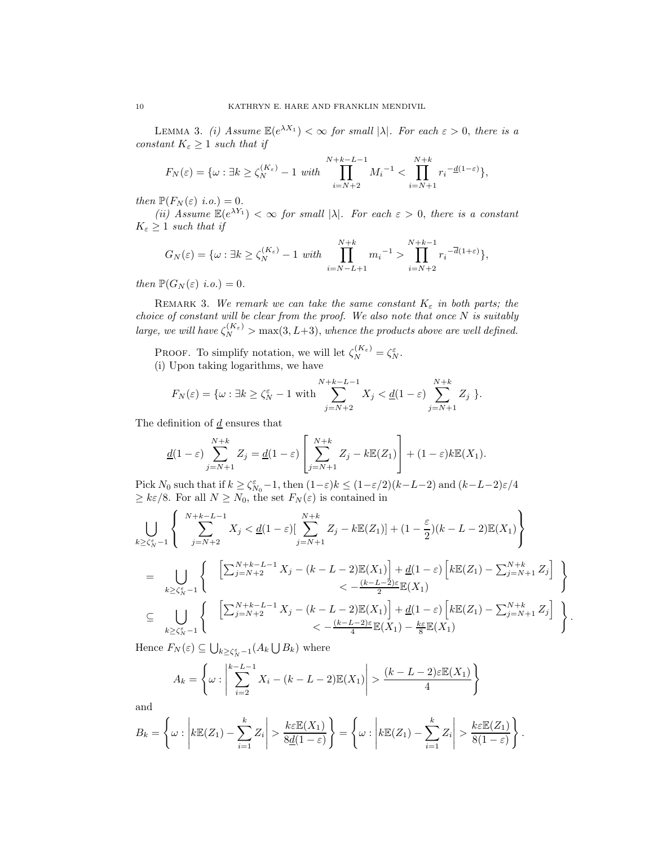<span id="page-9-0"></span>LEMMA 3. (i) Assume  $\mathbb{E}(e^{\lambda X_1}) < \infty$  for small  $|\lambda|$ . For each  $\varepsilon > 0$ , there is a constant  $K_{\varepsilon} \geq 1$  such that if

$$
F_N(\varepsilon) = \{\omega : \exists k \ge \zeta_N^{(K_\varepsilon)} - 1 \text{ with } \prod_{i=N+2}^{N+k-L-1} M_i^{-1} < \prod_{i=N+1}^{N+k} r_i^{-\underline{d}(1-\varepsilon)}\},
$$

then  $\mathbb{P}(F_N(\varepsilon)$  i.o.) = 0.

(ii) Assume  $\mathbb{E}(e^{\lambda Y_1}) < \infty$  for small  $|\lambda|$ . For each  $\varepsilon > 0$ , there is a constant  $K_{\varepsilon} \geq 1$  such that if

$$
G_N(\varepsilon) = \{ \omega : \exists k \ge \zeta_N^{(K_{\varepsilon})} - 1 \text{ with } \prod_{i=N-L+1}^{N+k} m_i^{-1} > \prod_{i=N+2}^{N+k-1} r_i^{-\overline{d}(1+\varepsilon)} \},
$$

then  $\mathbb{P}(G_N(\varepsilon)$  i.o.) = 0.

REMARK 3. We remark we can take the same constant  $K_{\varepsilon}$  in both parts; the choice of constant will be clear from the proof. We also note that once  $N$  is suitably large, we will have  $\zeta_N^{(K_{\varepsilon})} > \max(3, L+3)$ , whence the products above are well defined.

PROOF. To simplify notation, we will let  $\zeta_N^{(K_{\varepsilon})} = \zeta_N^{\varepsilon}$ . (i) Upon taking logarithms, we have

$$
F_N(\varepsilon) = \{ \omega : \exists k \ge \zeta_N^{\varepsilon} - 1 \text{ with } \sum_{j=N+2}^{N+k-L-1} X_j < \underline{d}(1-\varepsilon) \sum_{j=N+1}^{N+k} Z_j \}.
$$

The definition of  $d$  ensures that

$$
\underline{d}(1-\varepsilon)\sum_{j=N+1}^{N+k}Z_j=\underline{d}(1-\varepsilon)\left[\sum_{j=N+1}^{N+k}Z_j-k\mathbb{E}(Z_1)\right]+(1-\varepsilon)k\mathbb{E}(X_1).
$$

Pick  $N_0$  such that if  $k \geq \zeta_{N_0}^{\varepsilon} - 1$ , then  $(1-\varepsilon)k \leq (1-\varepsilon/2)(k-L-2)$  and  $(k-L-2)\varepsilon/4$  $\geq k\varepsilon/8$ . For all  $N \geq N_0$ , the set  $F_N(\varepsilon)$  is contained in

$$
\bigcup_{k \geq \zeta_N^{\varepsilon} - 1} \left\{ \sum_{j=N+2}^{N+k-L-1} X_j < \underline{d}(1-\varepsilon) \Big[ \sum_{j=N+1}^{N+k} Z_j - k \mathbb{E}(Z_1) \Big] + (1 - \frac{\varepsilon}{2}) (k - L - 2) \mathbb{E}(X_1) \right\}
$$
\n
$$
= \bigcup_{k \geq \zeta_N^{\varepsilon} - 1} \left\{ \sum_{j=N+2}^{N+k-L-1} X_j - (k - L - 2) \mathbb{E}(X_1) \Big] + \underline{d}(1-\varepsilon) \left[ k \mathbb{E}(Z_1) - \sum_{j=N+1}^{N+k} Z_j \right] \right\}
$$
\n
$$
\subseteq \bigcup_{k \geq \zeta_N^{\varepsilon} - 1} \left\{ \sum_{j=N+2}^{N+k-L-1} X_j - (k - L - 2) \mathbb{E}(X_1) \right] + \underline{d}(1-\varepsilon) \left[ k \mathbb{E}(Z_1) - \sum_{j=N+1}^{N+k} Z_j \right] \right\}
$$
\n
$$
< -\frac{(k - L - 2)\varepsilon}{4} \mathbb{E}(X_1) - \frac{k\varepsilon}{8} \mathbb{E}(X_1)
$$

.

Hence  $F_N(\varepsilon) \subseteq \bigcup_{k \geq \zeta_N^{\varepsilon} - 1} (A_k \bigcup B_k)$  where

$$
A_k = \left\{ \omega : \left| \sum_{i=2}^{k-L-1} X_i - (k-L-2) \mathbb{E}(X_1) \right| > \frac{(k-L-2)\varepsilon \mathbb{E}(X_1)}{4} \right\}
$$

and

$$
B_k = \left\{ \omega : \left| k \mathbb{E}(Z_1) - \sum_{i=1}^k Z_i \right| > \frac{k \varepsilon \mathbb{E}(X_1)}{8 \underline{d}(1-\varepsilon)} \right\} = \left\{ \omega : \left| k \mathbb{E}(Z_1) - \sum_{i=1}^k Z_i \right| > \frac{k \varepsilon \mathbb{E}(Z_1)}{8(1-\varepsilon)} \right\}.
$$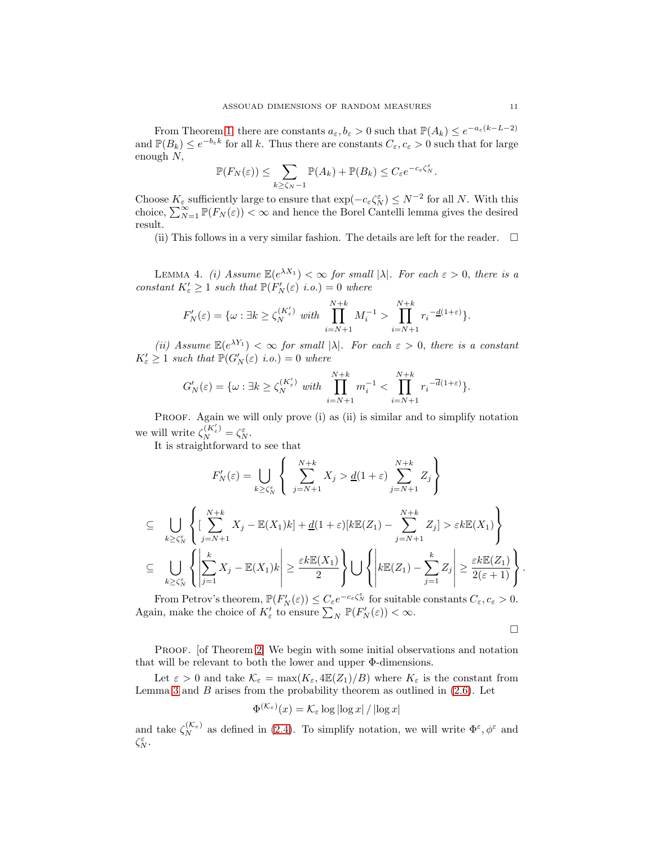From Theorem [1,](#page-6-0) there are constants  $a_{\varepsilon}, b_{\varepsilon} > 0$  such that  $\mathbb{P}(A_k) \leq e^{-a_{\varepsilon}(k-L-2)}$ and  $\mathbb{P}(B_k) \leq e^{-b_{\varepsilon}k}$  for all k. Thus there are constants  $C_{\varepsilon}$ ,  $c_{\varepsilon} > 0$  such that for large enough N,

$$
\mathbb{P}(F_N(\varepsilon)) \leq \sum_{k \geq \zeta_N - 1} \mathbb{P}(A_k) + \mathbb{P}(B_k) \leq C_{\varepsilon} e^{-c_{\varepsilon} \zeta_N^{\varepsilon}}.
$$

Choose  $K_{\varepsilon}$  sufficiently large to ensure that  $\exp(-c_{\varepsilon} \zeta_N^{\varepsilon}) \le N^{-2}$  for all N. With this choice,  $\sum_{N=1}^{\infty} \mathbb{P}(F_N(\varepsilon)) < \infty$  and hence the Borel Cantelli lemma gives the desired result.

(ii) This follows in a very similar fashion. The details are left for the reader.  $\Box$ 

<span id="page-10-0"></span>LEMMA 4. (i) Assume  $\mathbb{E}(e^{\lambda X_1}) < \infty$  for small  $|\lambda|$ . For each  $\varepsilon > 0$ , there is a constant  $K'_{\varepsilon} \geq 1$  such that  $\mathbb{P}(F'_{N}(\varepsilon))$  i.o.) = 0 where

$$
F_N'(\varepsilon) = \{ \omega : \exists k \ge \zeta_N^{(K'_{\varepsilon})} \text{ with } \prod_{i=N+1}^{N+k} M_i^{-1} > \prod_{i=N+1}^{N+k} r_i^{-\underline{d}(1+\varepsilon)} \}.
$$

(ii) Assume  $\mathbb{E}(e^{\lambda Y_1}) < \infty$  for small  $|\lambda|$ . For each  $\varepsilon > 0$ , there is a constant  $K'_{\varepsilon} \geq 1$  such that  $\mathbb{P}(G'_{N}(\varepsilon) \text{ i.o.}) = 0$  where

$$
G_N'(\varepsilon)=\{\omega: \exists k\ge \zeta_N^{(K'_{\varepsilon})}~ with~ \prod_{i=N+1}^{N+k}m_i^{-1}<\prod_{i=N+1}^{N+k}r_i^{-\overline{d}(1+\varepsilon)}\}.
$$

PROOF. Again we will only prove (i) as (ii) is similar and to simplify notation we will write  $\zeta_N^{(K'_{\varepsilon})} = \zeta_N^{\varepsilon}$ .

It is straightforward to see that

$$
F'_{N}(\varepsilon) = \bigcup_{k \geq \zeta_{N}^{\varepsilon}} \left\{ \sum_{j=N+1}^{N+k} X_{j} > \underline{d}(1+\varepsilon) \sum_{j=N+1}^{N+k} Z_{j} \right\}
$$
  
\n
$$
\subseteq \bigcup_{k \geq \zeta_{N}^{\varepsilon}} \left\{ \left[ \sum_{j=N+1}^{N+k} X_{j} - \mathbb{E}(X_{1})k \right] + \underline{d}(1+\varepsilon)[k \mathbb{E}(Z_{1}) - \sum_{j=N+1}^{N+k} Z_{j}] > \varepsilon k \mathbb{E}(X_{1}) \right\}
$$
  
\n
$$
\subseteq \bigcup_{k \geq \zeta_{N}^{\varepsilon}} \left\{ \left| \sum_{j=1}^{k} X_{j} - \mathbb{E}(X_{1})k \right| \geq \frac{\varepsilon k \mathbb{E}(X_{1})}{2} \right\} \bigcup \left\{ \left| k \mathbb{E}(Z_{1}) - \sum_{j=1}^{k} Z_{j} \right| \geq \frac{\varepsilon k \mathbb{E}(Z_{1})}{2(\varepsilon + 1)} \right\}.
$$

From Petrov's theorem,  $\mathbb{P}(F_N'(\varepsilon)) \leq C_{\varepsilon} e^{-c_{\varepsilon} \zeta_N^{\varepsilon}}$  for suitable constants  $C_{\varepsilon}, c_{\varepsilon} > 0$ . Again, make the choice of  $K'_{\varepsilon}$  to ensure  $\sum_{N} \mathbb{P}(F'_{N}(\varepsilon)) < \infty$ .

$$
\Box
$$

PROOF. [of Theorem [2\]](#page-8-1) We begin with some initial observations and notation that will be relevant to both the lower and upper Φ-dimensions.

Let  $\varepsilon > 0$  and take  $\mathcal{K}_{\varepsilon} = \max(K_{\varepsilon}, 4\mathbb{E}(Z_1)/B)$  where  $K_{\varepsilon}$  is the constant from Lemma [3](#page-9-0) and  $B$  arises from the probability theorem as outlined in  $(2.6)$ . Let

$$
\Phi^{(\mathcal{K}_{\varepsilon})}(x) = \mathcal{K}_{\varepsilon} \log |\log x| / |\log x|
$$

and take  $\zeta_N^{(\mathcal{K}_{\varepsilon})}$  as defined in [\(2.4\)](#page-7-0). To simplify notation, we will write  $\Phi^{\varepsilon}, \phi^{\varepsilon}$  and  $\zeta_N^\varepsilon$ .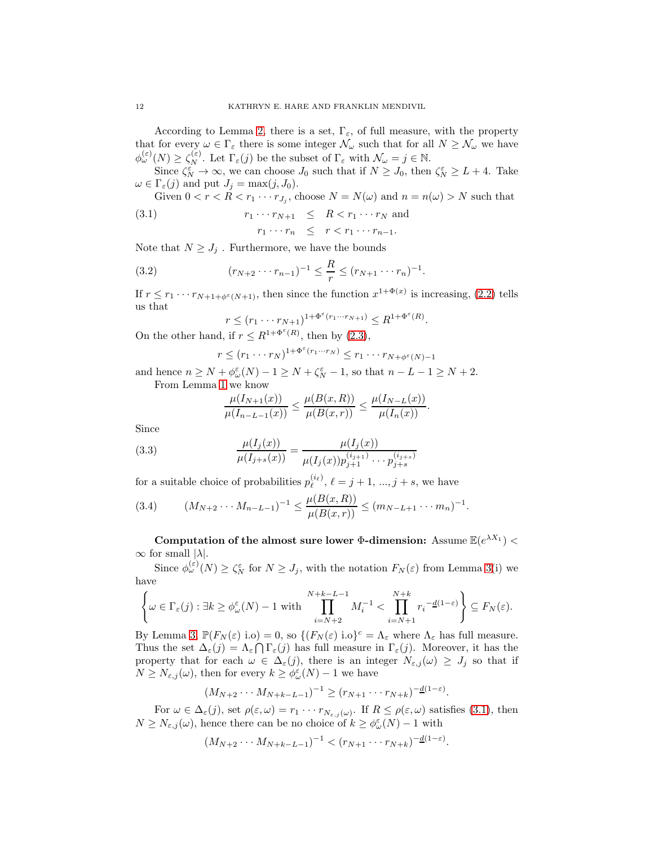According to Lemma [2,](#page-7-2) there is a set,  $\Gamma_{\varepsilon}$ , of full measure, with the property that for every  $\omega \in \Gamma_{\varepsilon}$  there is some integer  $\mathcal{N}_{\omega}$  such that for all  $N \geq \mathcal{N}_{\omega}$  we have  $\phi_{\omega}^{(\varepsilon)}(N) \geq \zeta_N^{(\varepsilon)}$ . Let  $\Gamma_{\varepsilon}(j)$  be the subset of  $\Gamma_{\varepsilon}$  with  $\mathcal{N}_{\omega} = j \in \mathbb{N}$ .

Since  $\zeta_N^{\varepsilon} \to \infty$ , we can choose  $J_0$  such that if  $N \geq J_0$ , then  $\zeta_N^{\varepsilon} \geq L + 4$ . Take  $\omega \in \Gamma_{\varepsilon}(j)$  and put  $J_j = \max(j, J_0)$ .

Given  $0 < r < R < r_1 \cdots r_{J_j}$ , choose  $N = N(\omega)$  and  $n = n(\omega) > N$  such that

$$
(3.1) \t\t\t r_1 \cdots r_{N+1} \leq R < r_1 \cdots r_N \text{ and}
$$

<span id="page-11-0"></span> $r_1 \cdots r_n \leq r < r_1 \cdots r_{n-1}.$ 

.

Note that  $N \geq J_i$ . Furthermore, we have the bounds

(3.2) 
$$
(r_{N+2} \cdots r_{n-1})^{-1} \leq \frac{R}{r} \leq (r_{N+1} \cdots r_n)^{-1}
$$

If  $r \leq r_1 \cdots r_{N+1+\phi^{\varepsilon}(N+1)}$ , then since the function  $x^{1+\Phi(x)}$  is increasing, [\(2.2\)](#page-6-1) tells us that

$$
r \le (r_1 \cdots r_{N+1})^{1+\Phi^{\varepsilon}(r_1 \cdots r_{N+1})} \le R^{1+\Phi^{\varepsilon}(R)}.
$$

On the other hand, if  $r \leq R^{1+\Phi^{\varepsilon}(R)}$ , then by [\(2.3\)](#page-6-1),

$$
r \le (r_1 \cdots r_N)^{1 + \Phi^{\varepsilon}(r_1 \cdots r_N)} \le r_1 \cdots r_{N + \phi^{\varepsilon}(N) - 1}
$$

and hence  $n \ge N + \phi_{\omega}^{\varepsilon}(N) - 1 \ge N + \zeta_{N}^{\varepsilon} - 1$ , so that  $n - L - 1 \ge N + 2$ . From Lemma [1](#page-5-0) we know

$$
\frac{\mu(I_{N+1}(x))}{\mu(I_{n-L-1}(x))} \le \frac{\mu(B(x,R))}{\mu(B(x,r))} \le \frac{\mu(I_{N-L}(x))}{\mu(I_n(x))}.
$$

Since

(3.3) 
$$
\frac{\mu(I_j(x))}{\mu(I_{j+s}(x))} = \frac{\mu(I_j(x))}{\mu(I_j(x))p_{j+1}^{(i_{j+1})}\cdots p_{j+s}^{(i_{j+s})}}
$$

for a suitable choice of probabilities  $p_{\ell}^{(i_{\ell})}$ ,  $\ell = j + 1, ..., j + s$ , we have

<span id="page-11-1"></span>
$$
(3.4) \qquad (M_{N+2}\cdots M_{n-L-1})^{-1} \leq \frac{\mu(B(x,R))}{\mu(B(x,r))} \leq (m_{N-L+1}\cdots m_n)^{-1}.
$$

Computation of the almost sure lower  $\Phi$ -dimension: Assume  $\mathbb{E}(e^{\lambda X_1})$  <  $\infty$  for small  $|\lambda|$ .

Since  $\phi_{\omega}^{(\varepsilon)}(N) \geq \zeta_N^{\varepsilon}$  for  $N \geq J_j$ , with the notation  $F_N(\varepsilon)$  from Lemma [3\(](#page-9-0)i) we have

$$
\left\{\omega \in \Gamma_{\varepsilon}(j) : \exists k \ge \phi_{\omega}^{\varepsilon}(N) - 1 \text{ with } \prod_{i=N+2}^{N+k-L-1} M_i^{-1} < \prod_{i=N+1}^{N+k} r_i^{-\underline{d}(1-\varepsilon)} \right\} \subseteq F_N(\varepsilon).
$$

By Lemma [3,](#page-9-0)  $\mathbb{P}(F_N(\varepsilon) \text{ i.o}) = 0$ , so  $\{(F_N(\varepsilon) \text{ i.o}\}^c = \Lambda_{\varepsilon} \text{ where } \Lambda_{\varepsilon} \text{ has full measure.}\$ Thus the set  $\Delta_{\varepsilon}(j) = \Lambda_{\varepsilon} \cap \Gamma_{\varepsilon}(j)$  has full measure in  $\Gamma_{\varepsilon}(j)$ . Moreover, it has the property that for each  $\omega \in \Delta_{\varepsilon}(j)$ , there is an integer  $N_{\varepsilon,j}(\omega) \geq J_j$  so that if  $N \geq N_{\varepsilon,j}(\omega)$ , then for every  $k \geq \phi_{\omega}^{\varepsilon}(N) - 1$  we have

$$
(M_{N+2}\cdots M_{N+k-L-1})^{-1} \ge (r_{N+1}\cdots r_{N+k})^{-\underline{d}(1-\varepsilon)}.
$$

For  $\omega \in \Delta_{\varepsilon}(j)$ , set  $\rho(\varepsilon, \omega) = r_1 \cdots r_{N_{\varepsilon,j}(\omega)}$ . If  $R \leq \rho(\varepsilon, \omega)$  satisfies [\(3.1\)](#page-11-0), then  $N \geq N_{\varepsilon,j}(\omega)$ , hence there can be no choice of  $k \geq \phi_{\omega}^{\varepsilon}(N) - 1$  with

$$
(M_{N+2}\cdots M_{N+k-L-1})^{-1} < (r_{N+1}\cdots r_{N+k})^{-\underline{d}(1-\varepsilon)}.
$$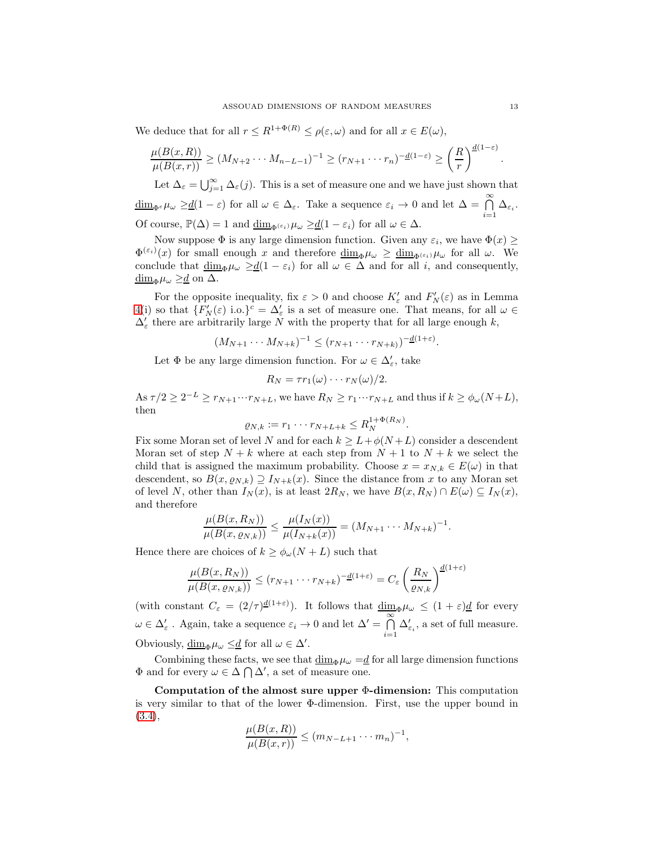We deduce that for all  $r \leq R^{1+\Phi(R)} \leq \rho(\varepsilon,\omega)$  and for all  $x \in E(\omega)$ ,

$$
\frac{\mu(B(x,R))}{\mu(B(x,r))} \ge (M_{N+2} \cdots M_{n-L-1})^{-1} \ge (r_{N+1} \cdots r_n)^{-\underline{d}(1-\varepsilon)} \ge \left(\frac{R}{r}\right)^{\underline{d}(1-\varepsilon)}
$$

Let  $\Delta_{\varepsilon} = \bigcup_{j=1}^{\infty} \Delta_{\varepsilon}(j)$ . This is a set of measure one and we have just shown that  $\underline{\dim}_{\Phi^{\varepsilon}}\mu_{\omega} \geq \underline{d}(1-\varepsilon)$  for all  $\omega \in \Delta_{\varepsilon}$ . Take a sequence  $\varepsilon_i \to 0$  and let  $\Delta = \bigcap_{i=1}^{\infty} \Delta_{\varepsilon_i}$ . Of course,  $\mathbb{P}(\Delta) = 1$  and  $\underline{\dim}_{\Phi^{\{\varepsilon_i\}}} \mu_\omega \geq \underline{d}(1 - \varepsilon_i)$  for all  $\omega \in \Delta$ .

Now suppose  $\Phi$  is any large dimension function. Given any  $\varepsilon_i$ , we have  $\Phi(x) \geq$  $\Phi^{(\varepsilon_i)}(x)$  for small enough x and therefore  $\underline{\dim}_{\Phi}\mu_\omega \ge \underline{\dim}_{\Phi^{(\varepsilon_i)}}\mu_\omega$  for all  $\omega$ . We conclude that  $\underline{\dim}_{\Phi}\mu_{\omega} \geq \underline{d}(1-\varepsilon_i)$  for all  $\omega \in \Delta$  and for all i, and consequently,  $\underline{\dim}_{\Phi}\mu_{\omega} \geq \underline{d}$  on  $\Delta$ .

For the opposite inequality, fix  $\varepsilon > 0$  and choose  $K'_{\varepsilon}$  and  $F'_{N}(\varepsilon)$  as in Lemma [4\(](#page-10-0)i) so that  $\{F'_N(\varepsilon) \text{ i.o.}\}^c = \Delta'_\varepsilon$  is a set of measure one. That means, for all  $\omega \in$  $\Delta'_{\varepsilon}$  there are arbitrarily large  $N$  with the property that for all large enough  $k,$ 

$$
(M_{N+1}\cdots M_{N+k})^{-1}\leq (r_{N+1}\cdots r_{N+k)})^{-\underline{d}(1+\varepsilon)}.
$$

Let  $\Phi$  be any large dimension function. For  $\omega \in \Delta'_\varepsilon$  , take

$$
R_N = \tau r_1(\omega) \cdots r_N(\omega)/2.
$$

As  $\tau/2 \geq 2^{-L} \geq r_{N+1} \cdots r_{N+L}$ , we have  $R_N \geq r_1 \cdots r_{N+L}$  and thus if  $k \geq \phi_\omega(N+L)$ , then

$$
\varrho_{N,k} := r_1 \cdots r_{N+L+k} \leq R_N^{1+\Phi(R_N)}.
$$

Fix some Moran set of level N and for each  $k \geq L + \phi(N+L)$  consider a descendent Moran set of step  $N + k$  where at each step from  $N + 1$  to  $N + k$  we select the child that is assigned the maximum probability. Choose  $x = x_{N,k} \in E(\omega)$  in that descendent, so  $B(x, \varrho_{N,k}) \supseteq I_{N+k}(x)$ . Since the distance from x to any Moran set of level N, other than  $I_N(x)$ , is at least  $2R_N$ , we have  $B(x, R_N) \cap E(\omega) \subseteq I_N(x)$ , and therefore

$$
\frac{\mu(B(x, R_N))}{\mu(B(x, \varrho_{N,k}))} \leq \frac{\mu(I_N(x))}{\mu(I_{N+k}(x))} = (M_{N+1} \cdots M_{N+k})^{-1}.
$$

Hence there are choices of  $k \geq \phi_{\omega}(N+L)$  such that

$$
\frac{\mu(B(x,R_N))}{\mu(B(x,\varrho_{N,k}))} \le (r_{N+1} \cdots r_{N+k})^{-\underline{d}(1+\varepsilon)} = C_{\varepsilon} \left(\frac{R_N}{\varrho_{N,k}}\right)^{\underline{d}(1+\varepsilon)}
$$

(with constant  $C_{\varepsilon} = (2/\tau)^{\underline{d}(1+\varepsilon)}$ ). It follows that  $\underline{\dim}_{\Phi}\mu_{\omega} \leq (1+\varepsilon)\underline{d}$  for every  $\omega \in \Delta_{\varepsilon}'$ . Again, take a sequence  $\varepsilon_i \to 0$  and let  $\Delta' = \bigcap_{i=1}^{\infty}$  $i=1$  $\Delta_{\varepsilon_i}^\prime,$  a set of full measure. Obviously,  $\underline{\dim}_{\Phi}\mu_{\omega} \leq \underline{d}$  for all  $\omega \in \Delta'$ .

Combining these facts, we see that  $\dim_{\Phi}\mu_{\omega} = d$  for all large dimension functions  $\Phi$  and for every  $\omega \in \Delta \bigcap \Delta'$ , a set of measure one.

Computation of the almost sure upper  $\Phi$ -dimension: This computation is very similar to that of the lower Φ-dimension. First, use the upper bound in [\(3.4\)](#page-11-1),

$$
\frac{\mu(B(x,R))}{\mu(B(x,r))} \le (m_{N-L+1}\cdots m_n)^{-1},
$$

.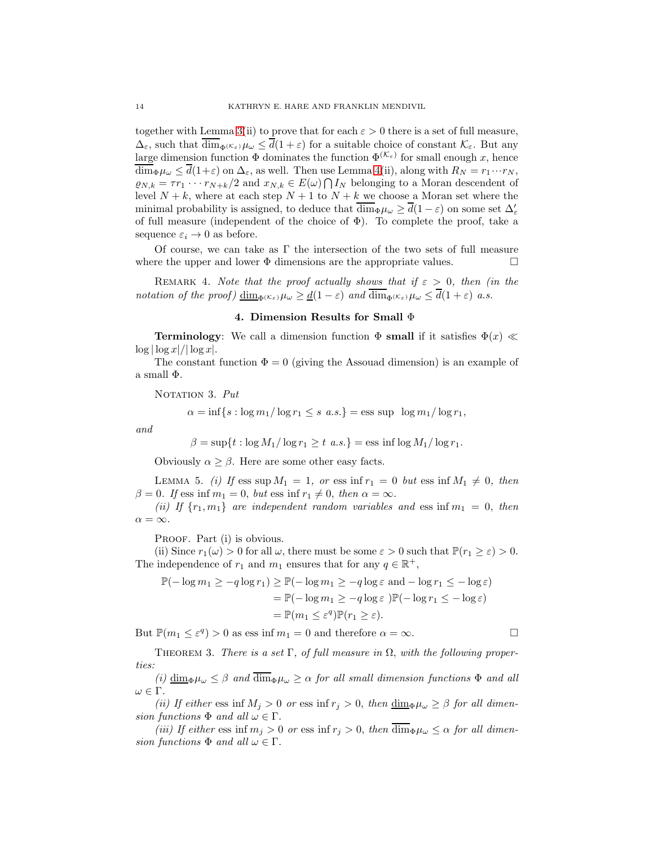together with Lemma [3\(](#page-9-0)ii) to prove that for each  $\varepsilon > 0$  there is a set of full measure,  $\Delta_{\varepsilon}$ , such that  $\overline{\dim}_{\Phi}(\kappa_{\varepsilon})\mu_{\omega} \leq \overline{d}(1+\varepsilon)$  for a suitable choice of constant  $\mathcal{K}_{\varepsilon}$ . But any large dimension function  $\Phi$  dominates the function  $\Phi^{(\mathcal{K}_{\varepsilon})}$  for small enough x, hence  $\overline{\dim}_{\Phi}\mu_{\omega} \leq \overline{d}(1+\varepsilon)$  on  $\Delta_{\varepsilon}$ , as well. Then use Lemma [4\(](#page-10-0)ii), along with  $R_N = r_1 \cdots r_N$ ,  $\varrho_{N,k} = \tau r_1 \cdots r_{N+k}/2$  and  $x_{N,k} \in E(\omega) \bigcap I_N$  belonging to a Moran descendent of level  $N + k$ , where at each step  $N + 1$  to  $N + k$  we choose a Moran set where the minimal probability is assigned, to deduce that  $\overline{\dim}_{\Phi}\mu_{\omega} \ge \overline{d}(1-\varepsilon)$  on some set  $\Delta'_{\varepsilon}$ of full measure (independent of the choice of  $\Phi$ ). To complete the proof, take a sequence  $\varepsilon_i \to 0$  as before.

Of course, we can take as  $\Gamma$  the intersection of the two sets of full measure where the upper and lower  $\Phi$  dimensions are the appropriate values.

<span id="page-13-0"></span>REMARK 4. Note that the proof actually shows that if  $\varepsilon > 0$ , then (in the notation of the proof)  $\underline{\dim}_{\Phi(\mathcal{K}_{\varepsilon})}\mu_{\omega} \geq \underline{d}(1-\varepsilon)$  and  $\overline{\dim}_{\Phi(\mathcal{K}_{\varepsilon})}\mu_{\omega} \leq \overline{d}(1+\varepsilon)$  a.s.

### 4. Dimension Results for Small Φ

**Terminology:** We call a dimension function  $\Phi$  small if it satisfies  $\Phi(x) \ll$  $\log |\log x|/|\log x|$ .

The constant function  $\Phi = 0$  (giving the Assouad dimension) is an example of a small Φ.

NOTATION 3. Put

$$
\alpha = \inf\{s : \log m_1/\log r_1 \le s \ a.s.\} = \text{ess sup } \log m_1/\log r_1,
$$

and

$$
\beta = \sup\{t : \log M_1 / \log r_1 \ge t \text{ a.s.}\} = \text{ess inf } \log M_1 / \log r_1.
$$

Obviously  $\alpha \geq \beta$ . Here are some other easy facts.

LEMMA 5. (i) If ess sup  $M_1 = 1$ , or ess inf  $r_1 = 0$  but ess inf  $M_1 \neq 0$ , then  $\beta = 0$ . If ess inf  $m_1 = 0$ , but ess inf  $r_1 \neq 0$ , then  $\alpha = \infty$ .

(ii) If  $\{r_1, m_1\}$  are independent random variables and ess inf  $m_1 = 0$ , then  $\alpha = \infty$ .

PROOF. Part (i) is obvious.

(ii) Since  $r_1(\omega) > 0$  for all  $\omega$ , there must be some  $\varepsilon > 0$  such that  $\mathbb{P}(r_1 \geq \varepsilon) > 0$ . The independence of  $r_1$  and  $m_1$  ensures that for any  $q \in \mathbb{R}^+$ ,

$$
\mathbb{P}(-\log m_1 \ge -q \log r_1) \ge \mathbb{P}(-\log m_1 \ge -q \log \varepsilon \text{ and } -\log r_1 \le -\log \varepsilon)
$$
  
= 
$$
\mathbb{P}(-\log m_1 \ge -q \log \varepsilon) \mathbb{P}(-\log r_1 \le -\log \varepsilon)
$$
  
= 
$$
\mathbb{P}(m_1 \le \varepsilon^q) \mathbb{P}(r_1 \ge \varepsilon).
$$

But  $\mathbb{P}(m_1 \leq \varepsilon^q) > 0$  as ess inf  $m_1 = 0$  and therefore  $\alpha = \infty$ .

<span id="page-13-1"></span>THEOREM 3. There is a set  $\Gamma$ , of full measure in  $\Omega$ , with the following properties:

(i)  $\underline{\dim}_{\Phi}\mu_{\omega} \leq \beta$  and  $\overline{\dim}_{\Phi}\mu_{\omega} \geq \alpha$  for all small dimension functions  $\Phi$  and all  $ω ∈ Γ$ .

(ii) If either ess inf  $M_j > 0$  or ess inf  $r_j > 0$ , then  $\underline{\dim}_{\Phi} \mu_\omega \geq \beta$  for all dimension functions  $\Phi$  and all  $\omega \in \Gamma$ .

(iii) If either ess inf  $m_j > 0$  or ess inf  $r_j > 0$ , then  $\dim_{\Phi}\mu_\omega \leq \alpha$  for all dimension functions  $\Phi$  and all  $\omega \in \Gamma$ .

$$
\sqcup
$$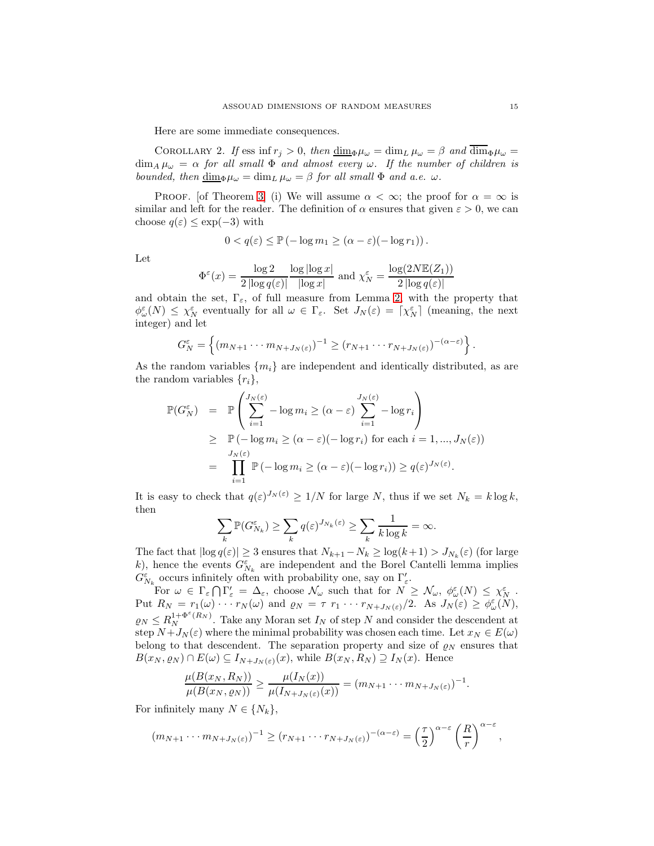Here are some immediate consequences.

COROLLARY 2. If ess inf  $r_j > 0$ , then  $\underline{\dim}_{\Phi}\mu_{\omega} = \dim_L \mu_{\omega} = \beta$  and  $\overline{\dim}_{\Phi}\mu_{\omega} =$  $\dim_A \mu_\omega = \alpha$  for all small  $\Phi$  and almost every  $\omega$ . If the number of children is bounded, then  $\dim_{\Phi}\mu_{\omega} = \dim_L \mu_{\omega} = \beta$  for all small  $\Phi$  and a.e.  $\omega$ .

PROOF. [of Theorem [3\]](#page-13-1) (i) We will assume  $\alpha < \infty$ ; the proof for  $\alpha = \infty$  is similar and left for the reader. The definition of  $\alpha$  ensures that given  $\varepsilon > 0$ , we can choose  $q(\varepsilon) \leq \exp(-3)$  with

$$
0 < q(\varepsilon) \le \mathbb{P}(-\log m_1 \ge (\alpha - \varepsilon)(-\log r_1)).
$$

Let

$$
\Phi^{\varepsilon}(x) = \frac{\log 2}{2 \left| \log q(\varepsilon) \right|} \frac{\log |\log x|}{\left| \log x \right|} \text{ and } \chi_N^{\varepsilon} = \frac{\log(2N \mathbb{E}(Z_1))}{2 \left| \log q(\varepsilon) \right|}
$$

and obtain the set,  $\Gamma_{\varepsilon}$ , of full measure from Lemma [2,](#page-7-2) with the property that  $\phi_\omega^{\varepsilon}(N) \leq \chi_N^{\varepsilon}$  eventually for all  $\omega \in \Gamma_{\varepsilon}$ . Set  $J_N(\varepsilon) = \lceil \chi_N^{\varepsilon} \rceil$  (meaning, the next integer) and let

$$
G_N^{\varepsilon} = \left\{ (m_{N+1} \cdots m_{N+J_N(\varepsilon)})^{-1} \ge (r_{N+1} \cdots r_{N+J_N(\varepsilon)})^{-(\alpha-\varepsilon)} \right\}.
$$

As the random variables  $\{m_i\}$  are independent and identically distributed, as are the random variables  $\{r_i\},\$ 

$$
\mathbb{P}(G_N^{\varepsilon}) = \mathbb{P}\left(\sum_{i=1}^{J_N(\varepsilon)} -\log m_i \geq (\alpha - \varepsilon) \sum_{i=1}^{J_N(\varepsilon)} -\log r_i\right)
$$
  
\n
$$
\geq \mathbb{P}(-\log m_i \geq (\alpha - \varepsilon)(-\log r_i) \text{ for each } i = 1, ..., J_N(\varepsilon))
$$
  
\n
$$
= \prod_{i=1}^{J_N(\varepsilon)} \mathbb{P}(-\log m_i \geq (\alpha - \varepsilon)(-\log r_i)) \geq q(\varepsilon)^{J_N(\varepsilon)}.
$$

It is easy to check that  $q(\varepsilon)^{J_N(\varepsilon)} \geq 1/N$  for large N, thus if we set  $N_k = k \log k$ , then

$$
\sum_{k} \mathbb{P}(G_{N_k}^{\varepsilon}) \ge \sum_{k} q(\varepsilon)^{J_{N_k}(\varepsilon)} \ge \sum_{k} \frac{1}{k \log k} = \infty.
$$

The fact that  $|\log q(\varepsilon)| \ge 3$  ensures that  $N_{k+1} - N_k \ge \log(k+1) > J_{N_k}(\varepsilon)$  (for large k), hence the events  $G_{N_k}^{\varepsilon}$  are independent and the Borel Cantelli lemma implies  $G_{N_k}^\varepsilon$  occurs infinitely often with probability one, say on  $\Gamma'_\varepsilon.$ 

For  $\omega \in \Gamma_{\varepsilon} \cap \Gamma'_{\varepsilon} = \Delta_{\varepsilon}$ , choose  $\mathcal{N}_{\omega}$  such that for  $N \geq \mathcal{N}_{\omega}, \ \phi_{\omega}^{\varepsilon}(N) \leq \chi_{N}^{\varepsilon}$ . Put  $R_N = r_1(\omega) \cdots r_N(\omega)$  and  $\varrho_N = \tau r_1 \cdots r_{N+J_N(\varepsilon)}/2$ . As  $J_N(\varepsilon) \geq \phi_{\omega}^{\varepsilon}(N)$ ,  $\rho_N \leq R_N^{1+\Phi^{\varepsilon}(R_N)}$ . Take any Moran set  $I_N$  of step N and consider the descendent at step  $N+J_N(\varepsilon)$  where the minimal probability was chosen each time. Let  $x_N \in E(\omega)$ belong to that descendent. The separation property and size of  $\varrho_N$  ensures that  $B(x_N, \varrho_N) \cap E(\omega) \subseteq I_{N+J_N(\varepsilon)}(x)$ , while  $B(x_N, R_N) \supseteq I_N(x)$ . Hence

$$
\frac{\mu(B(x_N, R_N))}{\mu(B(x_N, \varrho_N))} \ge \frac{\mu(I_N(x))}{\mu(I_{N+J_N(\varepsilon)}(x))} = (m_{N+1} \cdots m_{N+J_N(\varepsilon)})^{-1}.
$$

For infinitely many  $N \in \{N_k\},\$ 

$$
(m_{N+1}\cdots m_{N+J_N(\varepsilon)})^{-1}\geq (r_{N+1}\cdots r_{N+J_N(\varepsilon)})^{-(\alpha-\varepsilon)}=\left(\frac{\tau}{2}\right)^{\alpha-\varepsilon}\left(\frac{R}{r}\right)^{\alpha-\varepsilon},
$$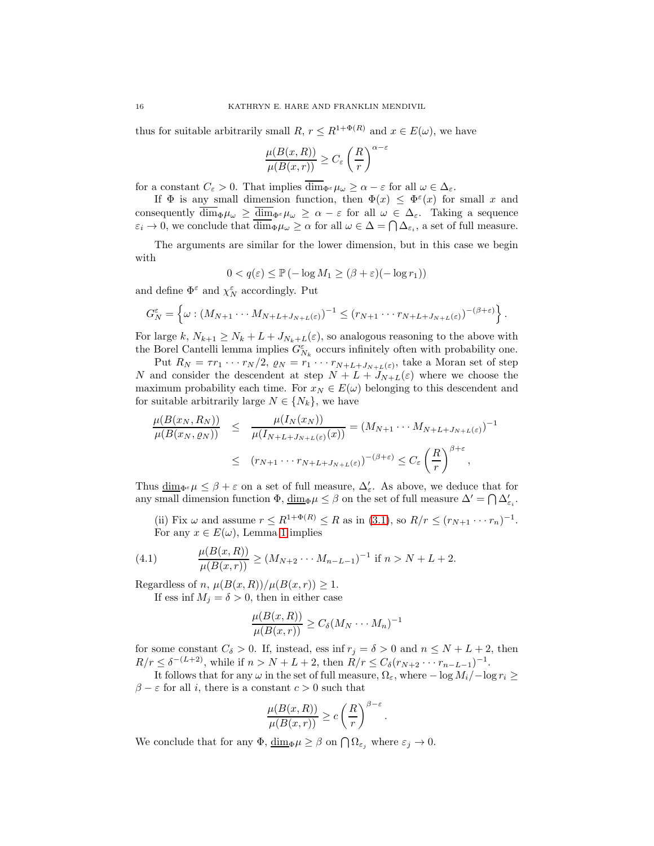thus for suitable arbitrarily small R,  $r \leq R^{1+\Phi(R)}$  and  $x \in E(\omega)$ , we have

$$
\frac{\mu(B(x,R))}{\mu(B(x,r))} \ge C_{\varepsilon} \left(\frac{R}{r}\right)^{\alpha-\varepsilon}
$$

for a constant  $C_{\varepsilon} > 0$ . That implies  $\overline{\dim}_{\Phi^{\varepsilon}} \mu_{\omega} \geq \alpha - \varepsilon$  for all  $\omega \in \Delta_{\varepsilon}$ .

If  $\Phi$  is any small dimension function, then  $\Phi(x) \leq \Phi^{\varepsilon}(x)$  for small x and consequently  $\overline{\dim}_{\Phi}\mu_{\omega} \ge \overline{\dim}_{\Phi^{\varepsilon}}\mu_{\omega} \ge \alpha - \varepsilon$  for all  $\omega \in \Delta_{\varepsilon}$ . Taking a sequence  $\varepsilon_i \to 0$ , we conclude that  $\dim_{\Phi} \mu_{\omega} \geq \alpha$  for all  $\omega \in \Delta = \bigcap \Delta_{\varepsilon_i}$ , a set of full measure.

The arguments are similar for the lower dimension, but in this case we begin with

$$
0 < q(\varepsilon) \le \mathbb{P}\left(-\log M_1 \ge (\beta + \varepsilon)(-\log r_1)\right)
$$

and define  $\Phi^\varepsilon$  and  $\chi_N^\varepsilon$  accordingly. Put

$$
G_N^{\varepsilon} = \left\{ \omega : (M_{N+1} \cdots M_{N+L+J_{N+L}(\varepsilon)})^{-1} \le (r_{N+1} \cdots r_{N+L+J_{N+L}(\varepsilon)})^{-(\beta+\varepsilon)} \right\}.
$$

For large k,  $N_{k+1} \geq N_k + L + J_{N_k+L}(\varepsilon)$ , so analogous reasoning to the above with the Borel Cantelli lemma implies  $G_{N_k}^{\varepsilon}$  occurs infinitely often with probability one.

Put  $R_N = \tau r_1 \cdots r_N/2$ ,  $\rho_N = r_1 \cdots r_{N+L+J_{N+L}(\varepsilon)}$ , take a Moran set of step N and consider the descendent at step  $N + L + J_{N+L}(\varepsilon)$  where we choose the maximum probability each time. For  $x_N \in E(\omega)$  belonging to this descendent and for suitable arbitrarily large  $N \in \{N_k\}$ , we have

$$
\frac{\mu(B(x_N, R_N))}{\mu(B(x_N, \varrho_N))} \leq \frac{\mu(I_N(x_N))}{\mu(I_{N+L+J_{N+L}(\varepsilon)}(x))} = (M_{N+1} \cdots M_{N+L+J_{N+L}(\varepsilon)})^{-1}
$$
  

$$
\leq (r_{N+1} \cdots r_{N+L+J_{N+L}(\varepsilon)})^{-(\beta+\varepsilon)} \leq C_{\varepsilon} \left(\frac{R}{r}\right)^{\beta+\varepsilon},
$$

Thus  $\underline{\dim}_{\Phi^{\varepsilon}} \mu \leq \beta + \varepsilon$  on a set of full measure,  $\Delta'_{\varepsilon}$ . As above, we deduce that for any small dimension function  $\Phi$ ,  $\underline{\dim}_{\Phi}\mu \leq \beta$  on the set of full measure  $\Delta' = \bigcap \Delta'_{\varepsilon_i}$ .

(ii) Fix  $\omega$  and assume  $r \leq R^{1+\Phi(R)} \leq R$  as in [\(3.1\)](#page-11-0), so  $R/r \leq (r_{N+1} \cdots r_n)^{-1}$ . For any  $x \in E(\omega)$ , Lemma [1](#page-5-0) implies

(4.1) 
$$
\frac{\mu(B(x,R))}{\mu(B(x,r))} \ge (M_{N+2} \cdots M_{n-L-1})^{-1} \text{ if } n > N+L+2.
$$

Regardless of n,  $\mu(B(x,R))/\mu(B(x,r)) \geq 1$ .

If ess inf  $M_i = \delta > 0$ , then in either case

$$
\frac{\mu(B(x,R))}{\mu(B(x,r))} \ge C_{\delta}(M_N \cdots M_n)^{-1}
$$

for some constant  $C_{\delta} > 0$ . If, instead, ess inf  $r_j = \delta > 0$  and  $n \leq N + L + 2$ , then  $R/r \leq \delta^{-(L+2)}$ , while if  $n > N + L + 2$ , then  $R/r \leq C_{\delta}(r_{N+2} \cdots r_{n-L-1})^{-1}$ .

It follows that for any  $\omega$  in the set of full measure,  $\Omega_{\varepsilon}$ , where  $-\log M_i / -\log r_i \ge$  $\beta - \varepsilon$  for all *i*, there is a constant  $c > 0$  such that

$$
\frac{\mu(B(x,R))}{\mu(B(x,r))} \ge c \left(\frac{R}{r}\right)^{\beta-\varepsilon}.
$$

We conclude that for any  $\Phi$ ,  $\underline{\dim}_{\Phi}\mu \geq \beta$  on  $\bigcap_{\varepsilon_j} \Omega_{\varepsilon_j}$  where  $\varepsilon_j \to 0$ .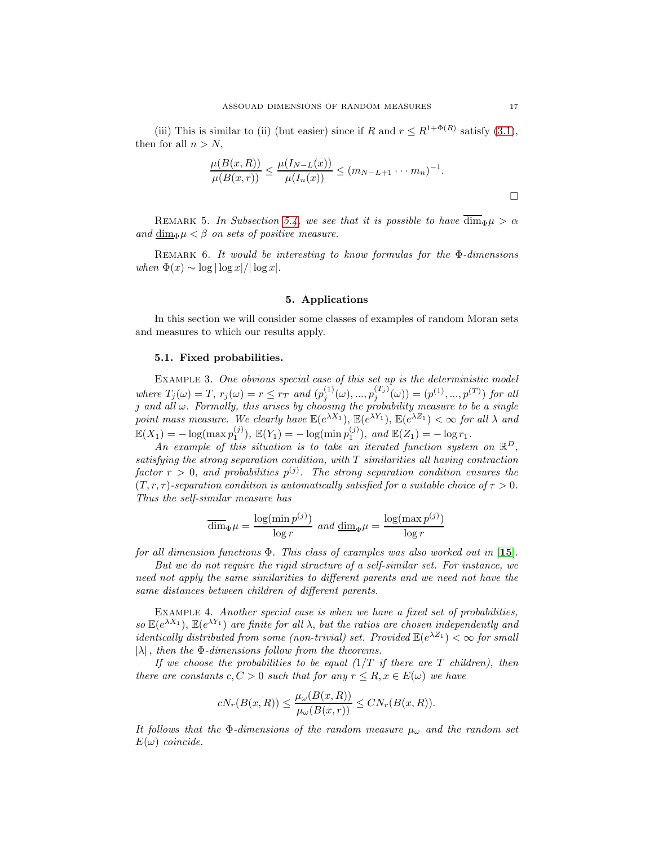(iii) This is similar to (ii) (but easier) since if R and  $r \leq R^{1+\Phi(R)}$  satisfy [\(3.1\)](#page-11-0), then for all  $n > N$ ,

$$
\frac{\mu(B(x,R))}{\mu(B(x,r))} \le \frac{\mu(I_{N-L}(x))}{\mu(I_n(x))} \le (m_{N-L+1} \cdots m_n)^{-1}.
$$

REMARK 5. In Subsection [5.4,](#page-18-0) we see that it is possible to have  $\overline{\dim}_{\Phi}\mu > \alpha$ and  $\dim_{\Phi} \mu < \beta$  on sets of positive measure.

REMARK 6. It would be interesting to know formulas for the  $\Phi$ -dimensions when  $\Phi(x) \sim \log |\log x| / |\log x|$ .

# 5. Applications

<span id="page-16-0"></span>In this section we will consider some classes of examples of random Moran sets and measures to which our results apply.

#### 5.1. Fixed probabilities.

EXAMPLE 3. One obvious special case of this set up is the deterministic model where  $T_j(\omega) = T$ ,  $r_j(\omega) = r \leq r_T$  and  $(p_j^{(1)}(\omega), ..., p_j^{(T_j)}(\omega)) = (p^{(1)}, ..., p^{(T)})$  for all  $j$  and all  $\omega$ . Formally, this arises by choosing the probability measure to be a single point mass measure. We clearly have  $\mathbb{E}(e^{\lambda X_1})$ ,  $\mathbb{E}(e^{\lambda Y_1})$ ,  $\mathbb{E}(e^{\lambda Z_1}) < \infty$  for all  $\lambda$  and  $\mathbb{E}(X_1) = -\log(\max p_1^{(j)}), \ \mathbb{E}(Y_1) = -\log(\min p_1^{(j)}), \ and \ \mathbb{E}(Z_1) = -\log r_1.$ 

An example of this situation is to take an iterated function system on  $\mathbb{R}^D$ , satisfying the strong separation condition, with  $T$  similarities all having contraction factor  $r > 0$ , and probabilities  $p^{(j)}$ . The strong separation condition ensures the  $(T, r, \tau)$ -separation condition is automatically satisfied for a suitable choice of  $\tau > 0$ . Thus the self-similar measure has

$$
\overline{\dim}_{\Phi}\mu = \frac{\log(\min p^{(j)})}{\log r} \text{ and } \underline{\dim}_{\Phi}\mu = \frac{\log(\max p^{(j)})}{\log r}
$$

for all dimension functions  $\Phi$ . This class of examples was also worked out in [[15](#page-23-8)].

But we do not require the rigid structure of a self-similar set. For instance, we need not apply the same similarities to different parents and we need not have the same distances between children of different parents.

Example 4. Another special case is when we have a fixed set of probabilities, so  $\mathbb{E}(e^{\lambda X_1})$ ,  $\mathbb{E}(e^{\lambda Y_1})$  are finite for all  $\lambda$ , but the ratios are chosen independently and *identically distributed from some (non-trivial) set. Provided*  $\mathbb{E}(e^{\lambda Z_1}) < \infty$  for small  $|\lambda|$ , then the  $\Phi$ -dimensions follow from the theorems.

If we choose the probabilities to be equal  $(1/T)$  if there are T children), then there are constants  $c, C > 0$  such that for any  $r \leq R, x \in E(\omega)$  we have

$$
cN_r(B(x,R)) \leq \frac{\mu_\omega(B(x,R))}{\mu_\omega(B(x,r))} \leq CN_r(B(x,R)).
$$

It follows that the  $\Phi$ -dimensions of the random measure  $\mu_{\omega}$  and the random set  $E(\omega)$  coincide.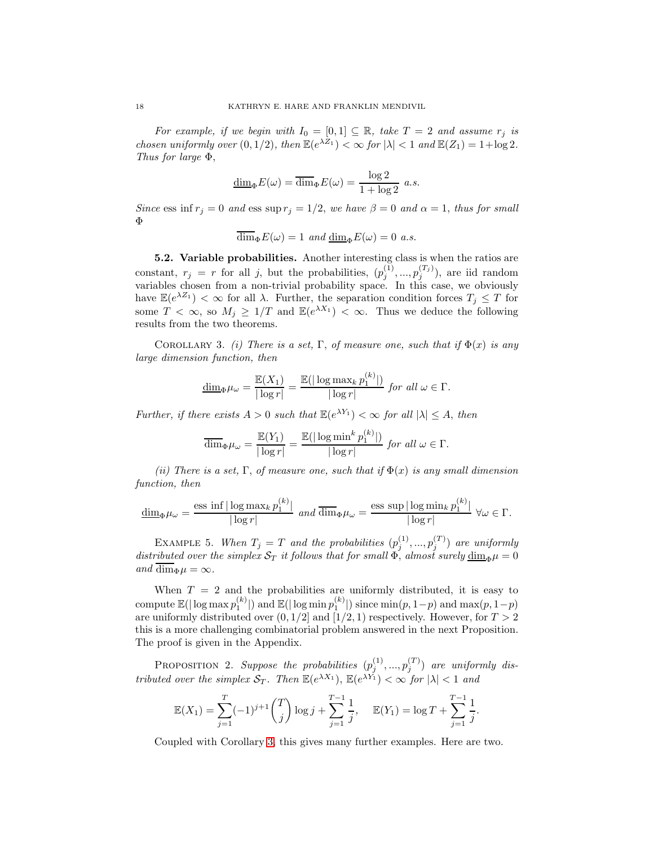For example, if we begin with  $I_0 = [0,1] \subseteq \mathbb{R}$ , take  $T = 2$  and assume  $r_j$  is chosen uniformly over  $(0, 1/2)$ , then  $\mathbb{E}(e^{\lambda Z_1}) < \infty$  for  $|\lambda| < 1$  and  $\mathbb{E}(Z_1) = 1 + \log 2$ . Thus for large Φ,

$$
\underline{\dim}_{\Phi} E(\omega) = \overline{\dim}_{\Phi} E(\omega) = \frac{\log 2}{1 + \log 2} a.s.
$$

Since ess inf  $r_j = 0$  and ess sup  $r_j = 1/2$ , we have  $\beta = 0$  and  $\alpha = 1$ , thus for small Φ

$$
\overline{\dim}_{\Phi} E(\omega) = 1 \ and \underline{\dim}_{\Phi} E(\omega) = 0 \ a.s.
$$

5.2. Variable probabilities. Another interesting class is when the ratios are constant,  $r_j = r$  for all j, but the probabilities,  $(p_j^{(1)}, ..., p_j^{(T_j)})$ , are iid random variables chosen from a non-trivial probability space. In this case, we obviously have  $\mathbb{E}(e^{\lambda Z_1}) < \infty$  for all  $\lambda$ . Further, the separation condition forces  $T_j \leq T$  for some  $T < \infty$ , so  $M_j \geq 1/T$  and  $\mathbb{E}(e^{\lambda X_1}) < \infty$ . Thus we deduce the following results from the two theorems.

<span id="page-17-0"></span>COROLLARY 3. (i) There is a set, Γ, of measure one, such that if  $\Phi(x)$  is any large dimension function, then

$$
\underline{\dim}_{\Phi}\mu_{\omega} = \frac{\mathbb{E}(X_1)}{|\log r|} = \frac{\mathbb{E}(|\log \max_k p_1^{(k)}|)}{|\log r|} \text{ for all } \omega \in \Gamma.
$$

Further, if there exists  $A > 0$  such that  $\mathbb{E}(e^{\lambda Y_1}) < \infty$  for all  $|\lambda| \leq A$ , then

$$
\overline{\dim}_{\Phi}\mu_{\omega} = \frac{\mathbb{E}(Y_1)}{|\log r|} = \frac{\mathbb{E}(|\log \min^k p_1^{(k)}|)}{|\log r|} \text{ for all } \omega \in \Gamma.
$$

(ii) There is a set, Γ, of measure one, such that if  $\Phi(x)$  is any small dimension function, then

$$
\underline{\dim}_{\Phi}\mu_{\omega} = \frac{\operatorname{ess\ inf}\,|\log \max_k p_1^{(k)}|}{|\log r|} \text{ and } \overline{\dim}_{\Phi}\mu_{\omega} = \frac{\operatorname{ess\ sup}\,|\log \min_k p_1^{(k)}|}{|\log r|} \,\,\forall \omega \in \Gamma.
$$

EXAMPLE 5. When  $T_j = T$  and the probabilities  $(p_j^{(1)},...,p_j^{(T)})$  are uniformly distributed over the simplex  $S_T$  it follows that for small  $\Phi$ , almost surely  $\dim_{\Phi}\mu=0$ and dim<sub> $\Phi$ </sub> $\mu = \infty$ .

When  $T = 2$  and the probabilities are uniformly distributed, it is easy to compute  $\mathbb{E}(|\log \max p_1^{(k)}|)$  and  $\mathbb{E}(|\log \min p_1^{(k)}|)$  since  $\min(p, 1-p)$  and  $\max(p, 1-p)$ are uniformly distributed over  $(0, 1/2]$  and  $[1/2, 1)$  respectively. However, for  $T > 2$ this is a more challenging combinatorial problem answered in the next Proposition. The proof is given in the Appendix.

<span id="page-17-1"></span>**PROPOSITION** 2. Suppose the probabilities  $(p_j^{(1)},...,p_j^{(T)})$  are uniformly distributed over the simplex  $S_T$ . Then  $\mathbb{E}(e^{\lambda X_1})$ ,  $\mathbb{E}(e^{\lambda Y_1}) < \infty$  for  $|\lambda| < 1$  and

$$
\mathbb{E}(X_1) = \sum_{j=1}^T (-1)^{j+1} {T \choose j} \log j + \sum_{j=1}^{T-1} \frac{1}{j}, \quad \mathbb{E}(Y_1) = \log T + \sum_{j=1}^{T-1} \frac{1}{j}.
$$

Coupled with Corollary [3,](#page-17-0) this gives many further examples. Here are two.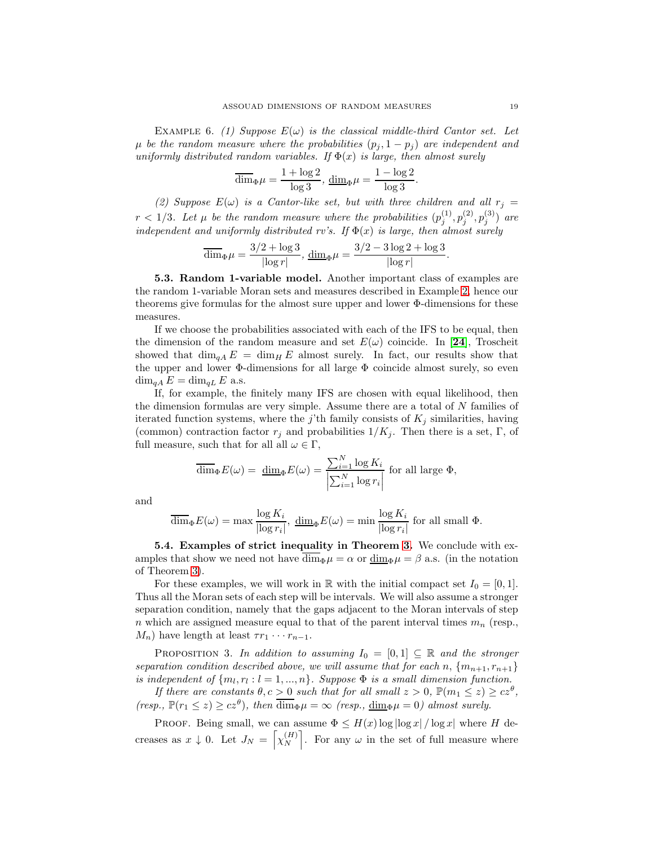EXAMPLE 6. (1) Suppose  $E(\omega)$  is the classical middle-third Cantor set. Let  $\mu$  be the random measure where the probabilities  $(p_j, 1-p_j)$  are independent and uniformly distributed random variables. If  $\Phi(x)$  is large, then almost surely

$$
\overline{\dim}_{\Phi}\mu=\frac{1+\log 2}{\log 3},\, \underline{\dim}_{\Phi}\mu=\frac{1-\log 2}{\log 3}.
$$

(2) Suppose  $E(\omega)$  is a Cantor-like set, but with three children and all  $r_j =$  $r < 1/3$ . Let  $\mu$  be the random measure where the probabilities  $(p_i^{(1)})$  $\binom{1)}{j},p_j^{(2)}$  $\binom{(2)}{j},p_j^{(3)}$  $j^{(3)}$ ) are independent and uniformly distributed rv's. If  $\Phi(x)$  is large, then almost surely

$$
\overline{\dim}_{\Phi}\mu = \frac{3/2 + \log 3}{|\log r|}, \, \underline{\dim}_{\Phi}\mu = \frac{3/2 - 3\log 2 + \log 3}{|\log r|}.
$$

5.3. Random 1-variable model. Another important class of examples are the random 1-variable Moran sets and measures described in Example [2,](#page-5-1) hence our theorems give formulas for the almost sure upper and lower Φ-dimensions for these measures.

If we choose the probabilities associated with each of the IFS to be equal, then the dimension of the random measure and set  $E(\omega)$  coincide. In [[24](#page-24-2)], Troscheit showed that  $\dim_{qA} E = \dim_{H} E$  almost surely. In fact, our results show that the upper and lower  $\Phi$ -dimensions for all large  $\Phi$  coincide almost surely, so even  $\dim_{qA} E = \dim_{qL} E$  a.s.

If, for example, the finitely many IFS are chosen with equal likelihood, then the dimension formulas are very simple. Assume there are a total of N families of iterated function systems, where the j'th family consists of  $K_i$  similarities, having (common) contraction factor  $r_j$  and probabilities  $1/K_j$ . Then there is a set, Γ, of full measure, such that for all all  $\omega \in \Gamma$ ,

$$
\overline{\dim}_{\Phi} E(\omega) = \underline{\dim}_{\Phi} E(\omega) = \frac{\sum_{i=1}^{N} \log K_i}{\left| \sum_{i=1}^{N} \log r_i \right|}
$$
 for all large  $\Phi$ ,

and

$$
\overline{\dim}_{\Phi} E(\omega) = \max \frac{\log K_i}{|\log r_i|}, \ \underline{\dim}_{\Phi} E(\omega) = \min \frac{\log K_i}{|\log r_i|} \text{ for all small } \Phi.
$$

<span id="page-18-0"></span>5.4. Examples of strict inequality in Theorem [3.](#page-13-1) We conclude with examples that show we need not have  $\overline{\dim}_{\Phi}\mu = \alpha$  or  $\underline{\dim}_{\Phi}\mu = \beta$  a.s. (in the notation of Theorem [3\)](#page-13-1).

For these examples, we will work in  $\mathbb R$  with the initial compact set  $I_0 = [0, 1]$ . Thus all the Moran sets of each step will be intervals. We will also assume a stronger separation condition, namely that the gaps adjacent to the Moran intervals of step n which are assigned measure equal to that of the parent interval times  $m_n$  (resp.,  $M_n$ ) have length at least  $\tau r_1 \cdots r_{n-1}$ .

<span id="page-18-1"></span>**PROPOSITION** 3. In addition to assuming  $I_0 = [0,1] \subseteq \mathbb{R}$  and the stronger separation condition described above, we will assume that for each n,  $\{m_{n+1}, r_{n+1}\}$ is independent of  $\{m_l, r_l : l = 1, ..., n\}$ . Suppose  $\Phi$  is a small dimension function.

If there are constants  $\theta, c > 0$  such that for all small  $z > 0$ ,  $\mathbb{P}(m_1 \leq z) \geq c z^{\theta}$ , (resp.,  $\mathbb{P}(r_1 \leq z) \geq cz^{\theta}$ ), then  $\overline{\dim}_{\Phi} \mu = \infty$  (resp.,  $\underline{\dim}_{\Phi} \mu = 0$ ) almost surely.

PROOF. Being small, we can assume  $\Phi \leq H(x) \log |\log x| / \log x$  where H decreases as  $x \downarrow 0$ . Let  $J_N = \begin{bmatrix} \chi_N^{(H)} \end{bmatrix}$  $\begin{bmatrix} H \\ N \end{bmatrix}$ . For any  $\omega$  in the set of full measure where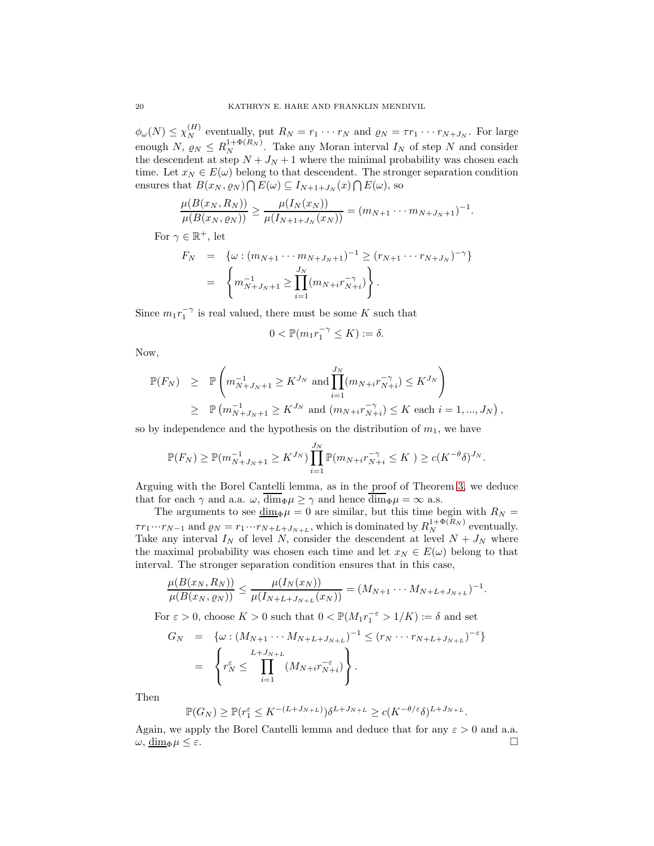$\phi_{\omega}(N) \leq \chi_N^{(H)}$  eventually, put  $R_N = r_1 \cdots r_N$  and  $\varrho_N = \tau r_1 \cdots r_{N+J_N}$ . For large enough N,  $\rho_N \leq R_N^{1+\Phi(R_N)}$ . Take any Moran interval  $I_N$  of step N and consider the descendent at step  $N + J_N + 1$  where the minimal probability was chosen each time. Let  $x_N \in E(\omega)$  belong to that descendent. The stronger separation condition ensures that  $B(x_N, \varrho_N) \bigcap E(\omega) \subseteq I_{N+1+J_N}(x) \bigcap E(\omega)$ , so

$$
\frac{\mu(B(x_N, R_N))}{\mu(B(x_N, \varrho_N))} \geq \frac{\mu(I_N(x_N))}{\mu(I_{N+1+J_N}(x_N))} = (m_{N+1} \cdots m_{N+J_N+1})^{-1}.
$$

For  $\gamma \in \mathbb{R}^+$ , let

$$
F_N = \{ \omega : (m_{N+1} \cdots m_{N+J_N+1})^{-1} \ge (r_{N+1} \cdots r_{N+J_N})^{-\gamma} \}
$$
  
= 
$$
\left\{ m_{N+J_N+1}^{-1} \ge \prod_{i=1}^{J_N} (m_{N+i} r_{N+i}^{-\gamma}) \right\}.
$$

Since  $m_1r_1^{-\gamma}$  is real valued, there must be some K such that

$$
0 < \mathbb{P}(m_1 r_1^{-\gamma} \le K) := \delta.
$$

Now,

$$
\mathbb{P}(F_N) \geq \mathbb{P}\left(m_{N+J_N+1}^{-1} \geq K^{J_N} \text{ and } \prod_{i=1}^{J_N} (m_{N+i}r_{N+i}^{-\gamma}) \leq K^{J_N}\right)
$$
  
 
$$
\geq \mathbb{P}\left(m_{N+J_N+1}^{-1} \geq K^{J_N} \text{ and } (m_{N+i}r_{N+i}^{-\gamma}) \leq K \text{ each } i = 1, ..., J_N\right),
$$

so by independence and the hypothesis on the distribution of  $m_1$ , we have

$$
\mathbb{P}(F_N) \geq \mathbb{P}(m_{N+J_N+1}^{-1} \geq K^{J_N}) \prod_{i=1}^{J_N} \mathbb{P}(m_{N+i}r_{N+i}^{-\gamma} \leq K) \geq c(K^{-\theta}\delta)^{J_N}.
$$

Arguing with the Borel Cantelli lemma, as in the proof of Theorem [3,](#page-13-1) we deduce that for each  $\gamma$  and a.a.  $\omega$ ,  $\overline{\dim}_{\Phi}\mu \ge \gamma$  and hence  $\overline{\dim}_{\Phi}\mu = \infty$  a.s.

The arguments to see  $\underline{\dim}_{\Phi}\mu = 0$  are similar, but this time begin with  $R_N =$  $\tau r_1 \cdots r_{N-1}$  and  $\varrho_N = r_1 \cdots r_{N+L+J_{N+L}}$ , which is dominated by  $R_N^{1+\Phi(R_N)}$  eventually. Take any interval  $I_N$  of level N, consider the descendent at level  $N + J_N$  where the maximal probability was chosen each time and let  $x_N \in E(\omega)$  belong to that interval. The stronger separation condition ensures that in this case,

$$
\frac{\mu(B(x_N, R_N))}{\mu(B(x_N, \varrho_N))} \leq \frac{\mu(I_N(x_N))}{\mu(I_{N+L+J_{N+L}}(x_N))} = (M_{N+1} \cdots M_{N+L+J_{N+L}})^{-1}.
$$

For  $\varepsilon > 0$ , choose  $K > 0$  such that  $0 < \mathbb{P}(M_1 r_1^{-\varepsilon} > 1/K) := \delta$  and set

$$
G_N = \{ \omega : (M_{N+1} \cdots M_{N+L+J_{N+L}})^{-1} \le (r_N \cdots r_{N+L+J_{N+L}})^{-\epsilon} \}
$$
  
= 
$$
\left\{ r_N^{\epsilon} \le \prod_{i=1}^{L+J_{N+L}} (M_{N+i} r_{N+i}^{-\epsilon}) \right\}.
$$

Then

$$
\mathbb{P}(G_N) \ge \mathbb{P}(r_1^{\varepsilon} \le K^{-(L+J_{N+L})})\delta^{L+J_{N+L}} \ge c(K^{-\theta/\varepsilon}\delta)^{L+J_{N+L}}.
$$

Again, we apply the Borel Cantelli lemma and deduce that for any  $\varepsilon > 0$  and a.a.  $\omega, \underline{\dim}_{\Phi} \mu \leq \varepsilon.$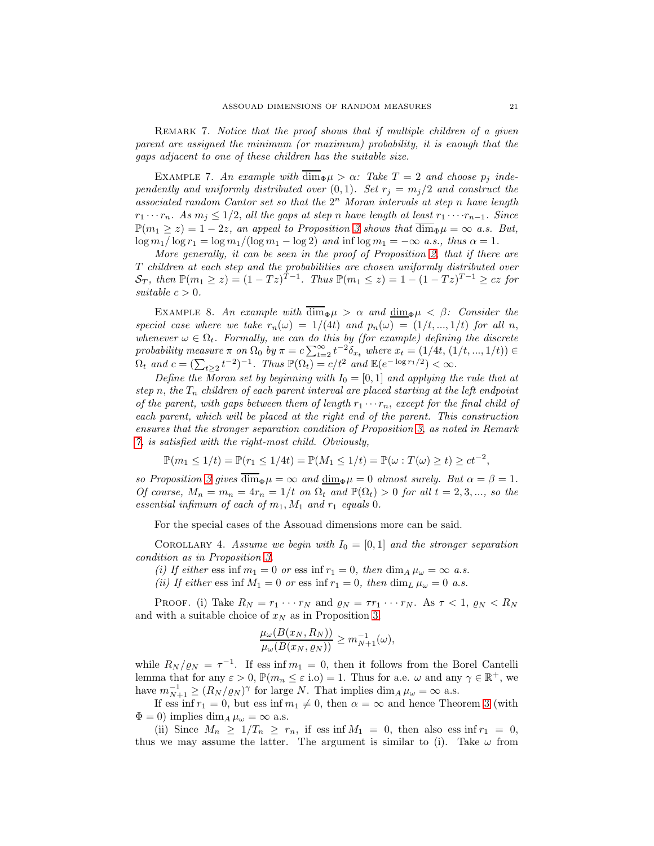<span id="page-20-0"></span>REMARK 7. Notice that the proof shows that if multiple children of a given parent are assigned the minimum (or maximum) probability, it is enough that the gaps adjacent to one of these children has the suitable size.

EXAMPLE 7. An example with  $\dim_{\Phi}\mu > \alpha$ : Take  $T = 2$  and choose  $p_i$  independently and uniformly distributed over  $(0, 1)$ . Set  $r_j = m_j/2$  and construct the associated random Cantor set so that the  $2<sup>n</sup>$  Moran intervals at step n have length  $r_1 \cdots r_n$ . As  $m_j \leq 1/2$ , all the gaps at step n have length at least  $r_1 \cdots r_{n-1}$ . Since  $\mathbb{P}(m_1 \geq z) = 1 - 2z$ , an appeal to Proposition [3](#page-18-1) shows that  $\overline{\dim}_{\Phi} \mu = \infty$  a.s. But,  $\log m_1 / \log r_1 = \log m_1 / (\log m_1 - \log 2)$  and inf  $\log m_1 = -\infty$  a.s., thus  $\alpha = 1$ .

More generally, it can be seen in the proof of Proposition [2,](#page-17-1) that if there are T children at each step and the probabilities are chosen uniformly distributed over  $S_T$ , then  $\mathbb{P}(m_1 \geq z) = (1 - Tz)^{T-1}$ . Thus  $\mathbb{P}(m_1 \leq z) = 1 - (1 - Tz)^{T-1} \geq cz$  for suitable  $c > 0$ .

EXAMPLE 8. An example with  $\overline{\dim}_{\Phi}\mu > \alpha$  and  $\underline{\dim}_{\Phi}\mu < \beta$ : Consider the special case where we take  $r_n(\omega) = 1/(4t)$  and  $p_n(\omega) = (1/t, ..., 1/t)$  for all n, whenever  $\omega \in \Omega_t$ . Formally, we can do this by (for example) defining the discrete probability measure  $\pi$  on  $\Omega_0$  by  $\pi = c \sum_{t=2}^{\infty} t^{-2} \delta_{x_t}$  where  $x_t = (1/4t, (1/t, ..., 1/t)) \in$  $\Omega_t$  and  $c = (\sum_{t\geq 2} t^{-2})^{-1}$ . Thus  $\mathbb{P}(\Omega_t) = c/t^2$  and  $\mathbb{E}(e^{-\log r_1/2}) < \infty$ .

Define the Moran set by beginning with  $I_0 = [0, 1]$  and applying the rule that at step n, the  $T_n$  children of each parent interval are placed starting at the left endpoint of the parent, with gaps between them of length  $r_1 \cdots r_n$ , except for the final child of each parent, which will be placed at the right end of the parent. This construction ensures that the stronger separation condition of Proposition [3,](#page-18-1) as noted in Remark [7,](#page-20-0) is satisfied with the right-most child. Obviously,

$$
\mathbb{P}(m_1 \le 1/t) = \mathbb{P}(r_1 \le 1/4t) = \mathbb{P}(M_1 \le 1/t) = \mathbb{P}(\omega : T(\omega) \ge t) \ge ct^{-2},
$$

so Proposition [3](#page-18-1) gives  $\overline{\dim}_{\Phi}\mu = \infty$  and  $\overline{\dim}_{\Phi}\mu = 0$  almost surely. But  $\alpha = \beta = 1$ . Of course,  $M_n = m_n = 4r_n = 1/t$  on  $\Omega_t$  and  $\mathbb{P}(\Omega_t) > 0$  for all  $t = 2, 3, ...,$  so the essential infimum of each of  $m_1$ ,  $M_1$  and  $r_1$  equals 0.

For the special cases of the Assouad dimensions more can be said.

COROLLARY 4. Assume we begin with  $I_0 = [0, 1]$  and the stronger separation condition as in Proposition [3.](#page-18-1)

(i) If either ess inf  $m_1 = 0$  or ess inf  $r_1 = 0$ , then  $\dim_A \mu_\omega = \infty$  a.s.

(ii) If either ess inf  $M_1 = 0$  or ess inf  $r_1 = 0$ , then  $\dim_L \mu_\omega = 0$  a.s.

PROOF. (i) Take  $R_N = r_1 \cdots r_N$  and  $\varrho_N = \tau r_1 \cdots r_N$ . As  $\tau < 1$ ,  $\varrho_N < R_N$ and with a suitable choice of  $x_N$  as in Proposition [3,](#page-18-1)

$$
\frac{\mu_{\omega}(B(x_N, R_N))}{\mu_{\omega}(B(x_N, \varrho_N))} \ge m_{N+1}^{-1}(\omega),
$$

while  $R_N/\varrho_N = \tau^{-1}$ . If ess inf  $m_1 = 0$ , then it follows from the Borel Cantelli lemma that for any  $\varepsilon > 0$ ,  $\mathbb{P}(m_n \leq \varepsilon \text{ i.o}) = 1$ . Thus for a.e.  $\omega$  and any  $\gamma \in \mathbb{R}^+$ , we have  $m_{N+1}^{-1} \ge (R_N / \varrho_N)^{\gamma}$  for large N. That implies  $\dim_A \mu_\omega = \infty$  a.s.

If ess inf  $r_1 = 0$ , but ess inf  $m_1 \neq 0$ , then  $\alpha = \infty$  and hence Theorem [3](#page-13-1) (with  $\Phi = 0$ ) implies dim<sub>A</sub>  $\mu_{\omega} = \infty$  a.s.

(ii) Since  $M_n \geq 1/T_n \geq r_n$ , if ess inf  $M_1 = 0$ , then also ess inf  $r_1 = 0$ , thus we may assume the latter. The argument is similar to (i). Take  $\omega$  from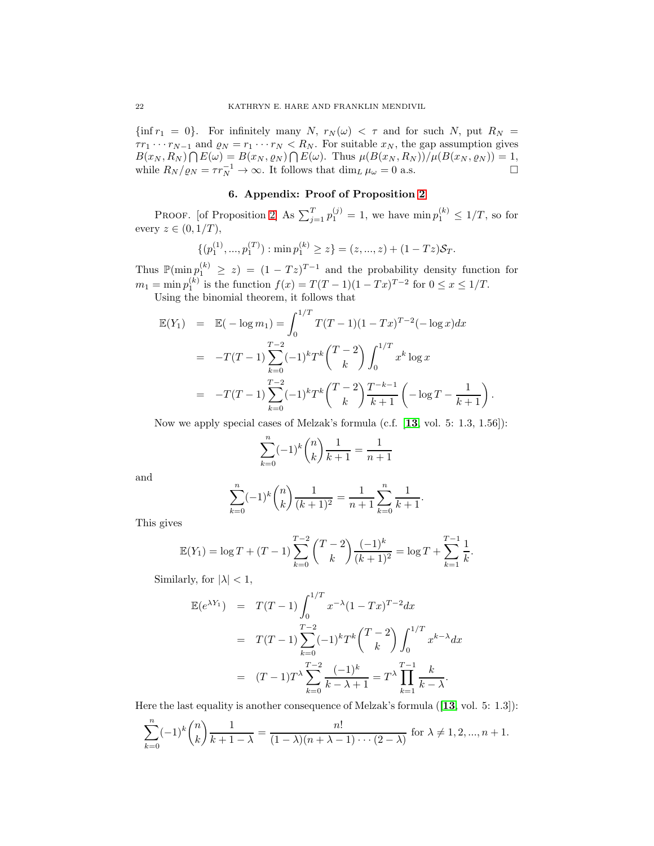$\{\inf r_1 = 0\}$ . For infinitely many N,  $r_N(\omega) < \tau$  and for such N, put  $R_N =$  $\tau r_1 \cdots r_{N-1}$  and  $\varrho_N = r_1 \cdots r_N < R_N$ . For suitable  $x_N$ , the gap assumption gives  $B(x_N, R_N) \bigcap E(\omega) = B(x_N, \varrho_N) \bigcap E(\omega)$ . Thus  $\mu(B(x_N, R_N))/\mu(B(x_N, \varrho_N)) = 1$ , while  $R_N/\varrho_N = \tau r_N^{-1} \to \infty$ . It follows that  $\dim_L \mu_\omega = 0$  a.s.

# 6. Appendix: Proof of Proposition [2](#page-17-1)

PROOF. [of Proposition [2\]](#page-17-1) As  $\sum_{j=1}^{T} p_1^{(j)} = 1$ , we have  $\min p_1^{(k)} \leq 1/T$ , so for every  $z \in (0, 1/T)$ ,

$$
\{(p_1^{(1)},...,p_1^{(T)}): \min p_1^{(k)} \ge z\} = (z,...,z) + (1 - Tz)\mathcal{S}_T.
$$

Thus  $\mathbb{P}(\min p_1^{(k)} \geq z) = (1 - Tz)^{T-1}$  and the probability density function for  $m_1 = \min p_1^{(k)}$  is the function  $f(x) = T(T-1)(1-Tx)^{T-2}$  for  $0 \le x \le 1/T$ .

Using the binomial theorem, it follows that

$$
\mathbb{E}(Y_1) = \mathbb{E}(-\log m_1) = \int_0^{1/T} T(T-1)(1-Tx)^{T-2}(-\log x)dx
$$
  
\n
$$
= -T(T-1)\sum_{k=0}^{T-2} (-1)^k T^k {T-2 \choose k} \int_0^{1/T} x^k \log x
$$
  
\n
$$
= -T(T-1)\sum_{k=0}^{T-2} (-1)^k T^k {T-2 \choose k} \frac{T^{-k-1}}{k+1} (-\log T - \frac{1}{k+1})
$$

Now we apply special cases of Melzak's formula (c.f. [[13](#page-23-17), vol. 5: 1.3, 1.56]):

.

$$
\sum_{k=0}^{n} (-1)^{k} \binom{n}{k} \frac{1}{k+1} = \frac{1}{n+1}
$$

and

$$
\sum_{k=0}^{n} (-1)^{k} \binom{n}{k} \frac{1}{(k+1)^{2}} = \frac{1}{n+1} \sum_{k=0}^{n} \frac{1}{k+1}.
$$

This gives

$$
\mathbb{E}(Y_1) = \log T + (T - 1) \sum_{k=0}^{T-2} {T-2 \choose k} \frac{(-1)^k}{(k+1)^2} = \log T + \sum_{k=1}^{T-1} \frac{1}{k}.
$$

Similarly, for  $|\lambda| < 1$ ,

$$
\mathbb{E}(e^{\lambda Y_1}) = T(T-1) \int_0^{1/T} x^{-\lambda} (1 - Tx)^{T-2} dx
$$
  
=  $T(T-1) \sum_{k=0}^{T-2} (-1)^k T^k {T-2 \choose k} \int_0^{1/T} x^{k-\lambda} dx$   
=  $(T-1) T^{\lambda} \sum_{k=0}^{T-2} \frac{(-1)^k}{k-\lambda+1} = T^{\lambda} \prod_{k=1}^{T-1} \frac{k}{k-\lambda}.$ 

Here the last equality is another consequence of Melzak's formula ([[13](#page-23-17), vol. 5: 1.3]):

$$
\sum_{k=0}^{n} (-1)^{k} {n \choose k} \frac{1}{k+1-\lambda} = \frac{n!}{(1-\lambda)(n+\lambda-1)\cdots(2-\lambda)}
$$
 for  $\lambda \neq 1, 2, ..., n+1$ .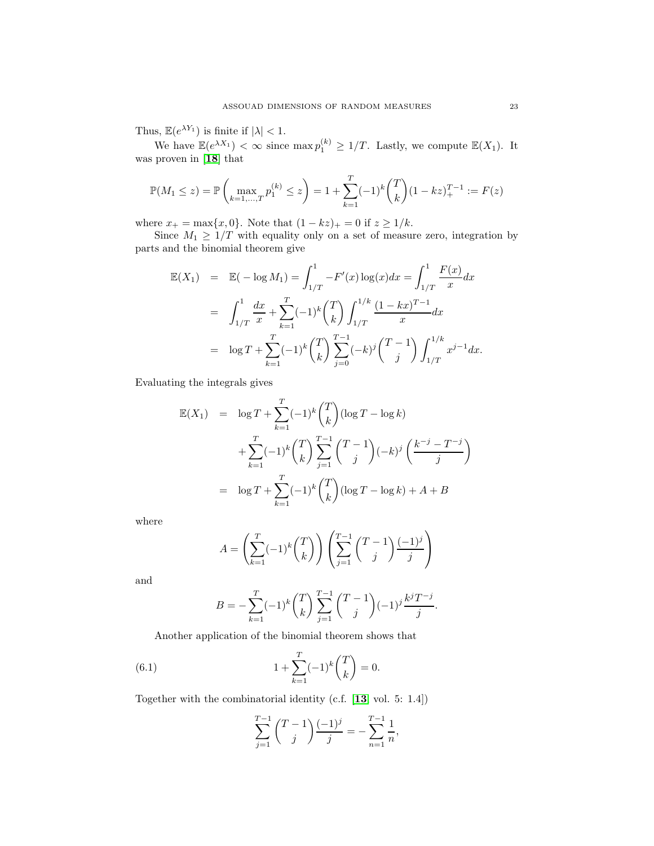Thus,  $\mathbb{E}(e^{\lambda Y_1})$  is finite if  $|\lambda| < 1$ .

We have  $\mathbb{E}(e^{\lambda X_1}) < \infty$  since  $\max p_1^{(k)} \geq 1/T$ . Lastly, we compute  $\mathbb{E}(X_1)$ . It was proven in [[18](#page-23-18)] that

$$
\mathbb{P}(M_1 \le z) = \mathbb{P}\left(\max_{k=1,\dots,T} p_1^{(k)} \le z\right) = 1 + \sum_{k=1}^T (-1)^k {T \choose k} (1 - kz)_+^{T-1} := F(z)
$$

where  $x_+ = \max\{x, 0\}$ . Note that  $(1 - kz)_+ = 0$  if  $z \ge 1/k$ .

Since  $M_1 \geq 1/T$  with equality only on a set of measure zero, integration by parts and the binomial theorem give

$$
\mathbb{E}(X_1) = \mathbb{E}(-\log M_1) = \int_{1/T}^1 -F'(x)\log(x)dx = \int_{1/T}^1 \frac{F(x)}{x}dx
$$
  
\n
$$
= \int_{1/T}^1 \frac{dx}{x} + \sum_{k=1}^T (-1)^k {T \choose k} \int_{1/T}^{1/k} \frac{(1-kx)^{T-1}}{x} dx
$$
  
\n
$$
= \log T + \sum_{k=1}^T (-1)^k {T \choose k} \sum_{j=0}^{T-1} (-k)^j {T-1 \choose j} \int_{1/T}^{1/k} x^{j-1} dx.
$$

Evaluating the integrals gives

$$
\mathbb{E}(X_1) = \log T + \sum_{k=1}^T (-1)^k {T \choose k} (\log T - \log k)
$$
  
+ 
$$
\sum_{k=1}^T (-1)^k {T \choose k} \sum_{j=1}^{T-1} {T-1 \choose j} (-k)^j {k^{-j} - T^{-j} \choose j}
$$
  
= 
$$
\log T + \sum_{k=1}^T (-1)^k {T \choose k} (\log T - \log k) + A + B
$$

where

$$
A = \left(\sum_{k=1}^{T} (-1)^{k} {T \choose k}\right) \left(\sum_{j=1}^{T-1} {T-1 \choose j} \frac{(-1)^{j}}{j}\right)
$$

and

$$
B = -\sum_{k=1}^{T} (-1)^k {T \choose k} \sum_{j=1}^{T-1} {T-1 \choose j} (-1)^j \frac{k^j T^{-j}}{j}.
$$

Another application of the binomial theorem shows that

(6.1) 
$$
1 + \sum_{k=1}^{T} (-1)^k {T \choose k} = 0.
$$

Together with the combinatorial identity (c.f. [[13](#page-23-17), vol. 5: 1.4])

<span id="page-22-0"></span>
$$
\sum_{j=1}^{T-1} {T-1 \choose j} \frac{(-1)^j}{j} = -\sum_{n=1}^{T-1} \frac{1}{n},
$$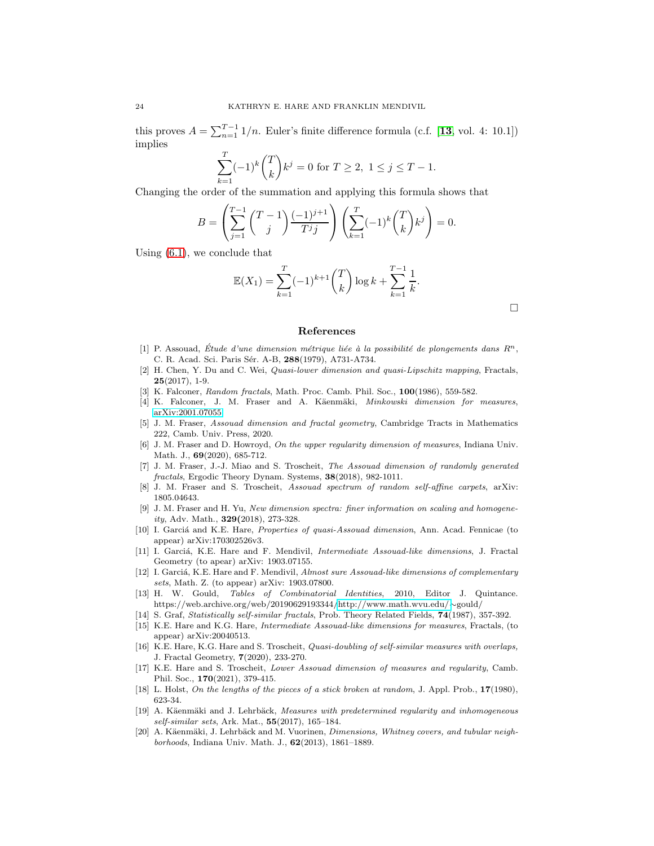this proves  $A = \sum_{n=1}^{T-1} 1/n$ . Euler's finite difference formula (c.f. [[13](#page-23-17), vol. 4: 10.1]) implies

$$
\sum_{k=1}^{T} (-1)^k {T \choose k} k^j = 0 \text{ for } T \ge 2, \ 1 \le j \le T - 1.
$$

Changing the order of the summation and applying this formula shows that

$$
B = \left(\sum_{j=1}^{T-1} {T-1 \choose j} \frac{(-1)^{j+1}}{T^j j}\right) \left(\sum_{k=1}^{T} (-1)^k {T \choose k} k^j\right) = 0.
$$

Using [\(6.1\)](#page-22-0), we conclude that

$$
\mathbb{E}(X_1) = \sum_{k=1}^T (-1)^{k+1} {T \choose k} \log k + \sum_{k=1}^{T-1} \frac{1}{k}.
$$

 $\Box$ 

#### References

- <span id="page-23-0"></span>[1] P. Assouad, Étude d'une dimension métrique liée à la possibilité de plongements dans  $R^n$ , C. R. Acad. Sci. Paris Sér. A-B, 288(1979), A731-A734.
- <span id="page-23-3"></span>[2] H. Chen, Y. Du and C. Wei, Quasi-lower dimension and quasi-Lipschitz mapping, Fractals,  $25(2017), 1-9.$
- <span id="page-23-15"></span><span id="page-23-9"></span>[3] K. Falconer, Random fractals, Math. Proc. Camb. Phil. Soc., 100(1986), 559-582.
- <span id="page-23-16"></span>[4] K. Falconer, J. M. Fraser and A. Käenmäki, *Minkowski dimension for measures*, [arXiv:2001.07055.](http://arxiv.org/abs/2001.07055)
- [5] J. M. Fraser, Assouad dimension and fractal geometry, Cambridge Tracts in Mathematics 222, Camb. Univ. Press, 2020.
- <span id="page-23-1"></span>[6] J. M. Fraser and D. Howroyd, On the upper regularity dimension of measures, Indiana Univ. Math. J., 69(2020), 685-712.
- <span id="page-23-11"></span>[7] J. M. Fraser, J.-J. Miao and S. Troscheit, The Assouad dimension of randomly generated fractals, Ergodic Theory Dynam. Systems, 38(2018), 982-1011.
- <span id="page-23-12"></span><span id="page-23-6"></span>[8] J. M. Fraser and S. Troscheit, Assouad spectrum of random self-affine carpets, arXiv: 1805.04643.
- [9] J. M. Fraser and H. Yu, New dimension spectra: finer information on scaling and homogeneity, Adv. Math., 329(2018), 273-328.
- [10] I. Garciá and K.E. Hare, Properties of quasi-Assouad dimension, Ann. Acad. Fennicae (to appear) arXiv:170302526v3.
- <span id="page-23-7"></span>[11] I. Garciá, K.E. Hare and F. Mendivil, *Intermediate Assouad-like dimensions*, J. Fractal Geometry (to apear) arXiv: 1903.07155.
- <span id="page-23-13"></span>[12] I. Garciá, K.E. Hare and F. Mendivil, Almost sure Assouad-like dimensions of complementary sets, Math. Z. (to appear) arXiv: 1903.07800.
- <span id="page-23-17"></span>[13] H. W. Gould, Tables of Combinatorial Identities, 2010, Editor J. Quintance. https://web.archive.org/web/20190629193344[/http://www.math.wvu.edu/](http://www.math.wvu.edu/)∼gould/
- <span id="page-23-10"></span><span id="page-23-8"></span>[14] S. Graf, *Statistically self-similar fractals*, Prob. Theory Related Fields, **74**(1987), 357-392.
- [15] K.E. Hare and K.G. Hare, Intermediate Assouad-like dimensions for measures, Fractals, (to appear) arXiv:20040513.
- <span id="page-23-4"></span>[16] K.E. Hare, K.G. Hare and S. Troscheit, Quasi-doubling of self-similar measures with overlaps, J. Fractal Geometry, 7(2020), 233-270.
- <span id="page-23-5"></span>[17] K.E. Hare and S. Troscheit, Lower Assouad dimension of measures and regularity, Camb. Phil. Soc., 170(2021), 379-415.
- <span id="page-23-18"></span><span id="page-23-14"></span>[18] L. Holst, On the lengths of the pieces of a stick broken at random, J. Appl. Prob., 17(1980), 623-34.
- [19] A. Käenmäki and J. Lehrbäck, Measures with predetermined regularity and inhomogeneous self-similar sets, Ark. Mat., 55(2017), 165–184.
- <span id="page-23-2"></span>[20] A. Käenmäki, J. Lehrbäck and M. Vuorinen, Dimensions, Whitney covers, and tubular neighborhoods, Indiana Univ. Math. J., 62(2013), 1861–1889.